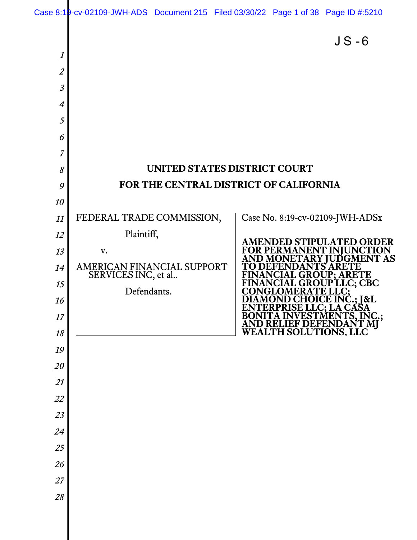Case 8:19-cv-02109-JWH-ADS Document 215 Filed 03/30/22 Page 1 of 38 Page ID #:5210

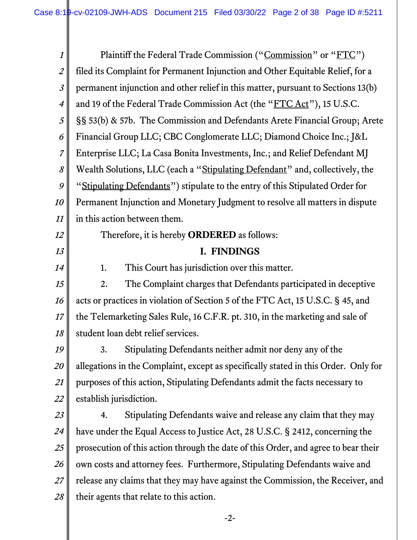$\mathbb{I}$ 

| $\boldsymbol{\it 1}$     | Plaintiff the Federal Trade Commission ("Commission" or "FTC")                      |  |  |
|--------------------------|-------------------------------------------------------------------------------------|--|--|
| $\overline{2}$           | filed its Complaint for Permanent Injunction and Other Equitable Relief, for a      |  |  |
| $\mathfrak{Z}$           | permanent injunction and other relief in this matter, pursuant to Sections 13(b)    |  |  |
| $\overline{\mathcal{A}}$ | and 19 of the Federal Trade Commission Act (the "FTC Act"), 15 U.S.C.               |  |  |
| $\mathfrak{s}$           | §§ 53(b) & 57b. The Commission and Defendants Arete Financial Group; Arete          |  |  |
| 6                        | Financial Group LLC; CBC Conglomerate LLC; Diamond Choice Inc.; J&L                 |  |  |
| $\overline{7}$           | Enterprise LLC; La Casa Bonita Investments, Inc.; and Relief Defendant MJ           |  |  |
| 8                        | Wealth Solutions, LLC (each a "Stipulating Defendant" and, collectively, the        |  |  |
| 9                        | "Stipulating Defendants") stipulate to the entry of this Stipulated Order for       |  |  |
| 10                       | Permanent Injunction and Monetary Judgment to resolve all matters in dispute        |  |  |
| 11                       | in this action between them.                                                        |  |  |
| 12                       | Therefore, it is hereby <b>ORDERED</b> as follows:                                  |  |  |
| 13                       | I. FINDINGS                                                                         |  |  |
| 14                       | This Court has jurisdiction over this matter.<br>1.                                 |  |  |
| 15                       | The Complaint charges that Defendants participated in deceptive<br>2.               |  |  |
| 16                       | acts or practices in violation of Section 5 of the FTC Act, 15 U.S.C. § 45, and     |  |  |
| 17                       | the Telemarketing Sales Rule, 16 C.F.R. pt. 310, in the marketing and sale of       |  |  |
| 18                       | student loan debt relief services.                                                  |  |  |
| 19                       | Stipulating Defendants neither admit nor deny any of the<br>3.                      |  |  |
| 20                       | allegations in the Complaint, except as specifically stated in this Order. Only for |  |  |
| 21                       | purposes of this action, Stipulating Defendants admit the facts necessary to        |  |  |
| 22                       | establish jurisdiction.                                                             |  |  |
| 23                       | Stipulating Defendants waive and release any claim that they may<br>4.              |  |  |
| 24                       | have under the Equal Access to Justice Act, 28 U.S.C. § 2412, concerning the        |  |  |
| 25                       | prosecution of this action through the date of this Order, and agree to bear their  |  |  |
| 26                       | own costs and attorney fees. Furthermore, Stipulating Defendants waive and          |  |  |
| 27                       | release any claims that they may have against the Commission, the Receiver, and     |  |  |
| 28                       | their agents that relate to this action.                                            |  |  |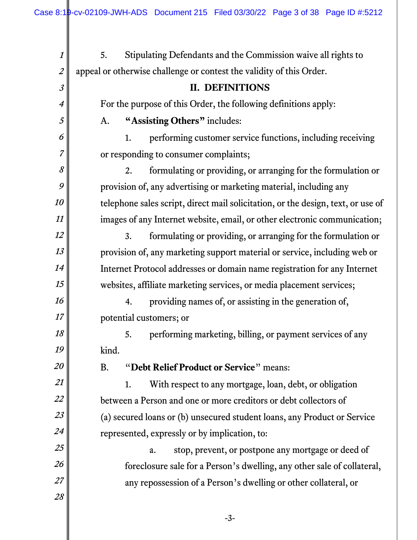| $\boldsymbol{\it 1}$        | Stipulating Defendants and the Commission waive all rights to<br>5.              |  |  |  |
|-----------------------------|----------------------------------------------------------------------------------|--|--|--|
| $\mathcal{Z}_{\mathcal{C}}$ | appeal or otherwise challenge or contest the validity of this Order.             |  |  |  |
| $\mathfrak{Z}$              | <b>II. DEFINITIONS</b>                                                           |  |  |  |
| $\boldsymbol{4}$            | For the purpose of this Order, the following definitions apply:                  |  |  |  |
| 5                           | "Assisting Others" includes:<br>A.                                               |  |  |  |
| 6                           | performing customer service functions, including receiving<br>1.                 |  |  |  |
| $\overline{7}$              | or responding to consumer complaints;                                            |  |  |  |
| 8                           | formulating or providing, or arranging for the formulation or<br>2.              |  |  |  |
| 9                           | provision of, any advertising or marketing material, including any               |  |  |  |
| 10                          | telephone sales script, direct mail solicitation, or the design, text, or use of |  |  |  |
| 11                          | images of any Internet website, email, or other electronic communication;        |  |  |  |
| 12                          | formulating or providing, or arranging for the formulation or<br>3.              |  |  |  |
| 13                          | provision of, any marketing support material or service, including web or        |  |  |  |
| 14                          | Internet Protocol addresses or domain name registration for any Internet         |  |  |  |
| 15                          | websites, affiliate marketing services, or media placement services;             |  |  |  |
| 16                          | providing names of, or assisting in the generation of,<br>4.                     |  |  |  |
| 17                          | potential customers; or                                                          |  |  |  |
| 18                          | performing marketing, billing, or payment services of any<br>5.                  |  |  |  |
| 19                          | kind.                                                                            |  |  |  |
| <i>20</i>                   | "Debt Relief Product or Service" means:<br><b>B.</b>                             |  |  |  |
| 21                          | With respect to any mortgage, loan, debt, or obligation<br>1.                    |  |  |  |
| 22                          | between a Person and one or more creditors or debt collectors of                 |  |  |  |
| 23                          | (a) secured loans or (b) unsecured student loans, any Product or Service         |  |  |  |
| 24                          | represented, expressly or by implication, to:                                    |  |  |  |
| 25                          | stop, prevent, or postpone any mortgage or deed of<br>a.                         |  |  |  |
| 26                          | foreclosure sale for a Person's dwelling, any other sale of collateral,          |  |  |  |
| 27                          | any repossession of a Person's dwelling or other collateral, or                  |  |  |  |
| 28                          |                                                                                  |  |  |  |
|                             | $-3-$                                                                            |  |  |  |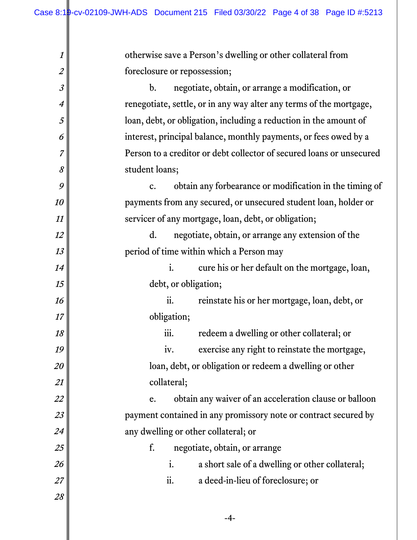II

║

| 1              | otherwise save a Person's dwelling or other collateral from          |  |  |  |
|----------------|----------------------------------------------------------------------|--|--|--|
| $\overline{2}$ | foreclosure or repossession;                                         |  |  |  |
| $\mathfrak{Z}$ | $\mathbf b$ .<br>negotiate, obtain, or arrange a modification, or    |  |  |  |
| $\overline{4}$ | renegotiate, settle, or in any way alter any terms of the mortgage,  |  |  |  |
| 5              | loan, debt, or obligation, including a reduction in the amount of    |  |  |  |
| 6              | interest, principal balance, monthly payments, or fees owed by a     |  |  |  |
| 7              | Person to a creditor or debt collector of secured loans or unsecured |  |  |  |
| 8              | student loans;                                                       |  |  |  |
| 9              | obtain any forbearance or modification in the timing of<br>c.        |  |  |  |
| 10             | payments from any secured, or unsecured student loan, holder or      |  |  |  |
| 11             | servicer of any mortgage, loan, debt, or obligation;                 |  |  |  |
| 12             | negotiate, obtain, or arrange any extension of the<br>$\mathbf{d}$ . |  |  |  |
| 13             | period of time within which a Person may                             |  |  |  |
| 14             | cure his or her default on the mortgage, loan,<br>i.                 |  |  |  |
| 15             | debt, or obligation;                                                 |  |  |  |
| 16             | ii.<br>reinstate his or her mortgage, loan, debt, or                 |  |  |  |
| 17             | obligation;                                                          |  |  |  |
| 18             | iii.<br>redeem a dwelling or other collateral; or                    |  |  |  |
| 19             | exercise any right to reinstate the mortgage,<br>iv.                 |  |  |  |
| 20             | loan, debt, or obligation or redeem a dwelling or other              |  |  |  |
| 21             | collateral;                                                          |  |  |  |
| 22             | obtain any waiver of an acceleration clause or balloon<br>e.         |  |  |  |
| 23             | payment contained in any promissory note or contract secured by      |  |  |  |
| 24             | any dwelling or other collateral; or                                 |  |  |  |
| 25             | f.<br>negotiate, obtain, or arrange                                  |  |  |  |
| 26             | i.<br>a short sale of a dwelling or other collateral;                |  |  |  |
| 27             | ii.<br>a deed-in-lieu of foreclosure; or                             |  |  |  |
| 28             |                                                                      |  |  |  |
|                | $-4-$                                                                |  |  |  |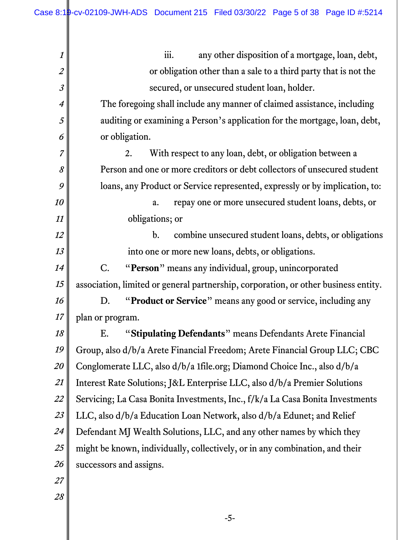*5 10 15 20 25 1 2 3 4 6 7 8 9 11 12 13 14 16 17 18 19 21 22 23 24 26 27 28*  iii. any other disposition of a mortgage, loan, debt, or obligation other than a sale to a third party that is not the secured, or unsecured student loan, holder. The foregoing shall include any manner of claimed assistance, including auditing or examining a Person's application for the mortgage, loan, debt, or obligation. 2. With respect to any loan, debt, or obligation between a Person and one or more creditors or debt collectors of unsecured student loans, any Product or Service represented, expressly or by implication, to: a. repay one or more unsecured student loans, debts, or obligations; or b. combine unsecured student loans, debts, or obligations into one or more new loans, debts, or obligations. C. "**Person**" means any individual, group, unincorporated association, limited or general partnership, corporation, or other business entity. D. "**Product or Service**" means any good or service, including any plan or program. E. "**Stipulating Defendants**" means Defendants Arete Financial Group, also d/b/a Arete Financial Freedom; Arete Financial Group LLC; CBC Conglomerate LLC, also d/b/a [1file.org](https://1file.org); Diamond Choice Inc., also d/b/a Interest Rate Solutions; J&L Enterprise LLC, also d/b/a Premier Solutions Servicing; La Casa Bonita Investments, Inc., f/k/a La Casa Bonita Investments LLC, also d/b/a Education Loan Network, also d/b/a Edunet; and Relief Defendant MJ Wealth Solutions, LLC, and any other names by which they might be known, individually, collectively, or in any combination, and their successors and assigns.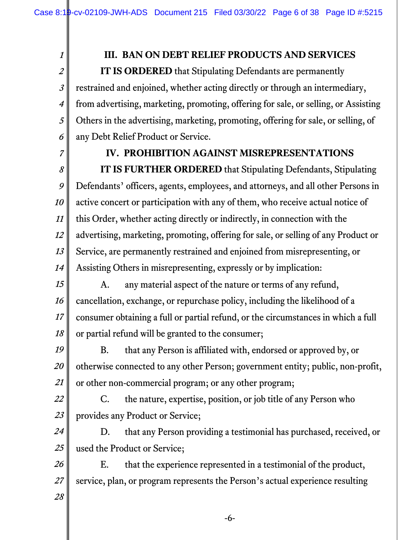### **III. BAN ON DEBT RELIEF PRODUCTS AND SERVICES**

*5 2 3 4 6*  **IT IS ORDERED** that Stipulating Defendants are permanently restrained and enjoined, whether acting directly or through an intermediary, from advertising, marketing, promoting, offering for sale, or selling, or Assisting Others in the advertising, marketing, promoting, offering for sale, or selling, of any Debt Relief Product or Service.

*7* 

*1* 

### **IV. PROHIBITION AGAINST MISREPRESENTATIONS**

*10 8 9 11 12 13 14*  **IT IS FURTHER ORDERED** that Stipulating Defendants, Stipulating Defendants' officers, agents, employees, and attorneys, and all other Persons in active concert or participation with any of them, who receive actual notice of this Order, whether acting directly or indirectly, in connection with the advertising, marketing, promoting, offering for sale, or selling of any Product or Service, are permanently restrained and enjoined from misrepresenting, or Assisting Others in misrepresenting, expressly or by implication:

*15 16 17 18*  A. any material aspect of the nature or terms of any refund, cancellation, exchange, or repurchase policy, including the likelihood of a consumer obtaining a full or partial refund, or the circumstances in which a full or partial refund will be granted to the consumer;

*20 19 21*  B. that any Person is affiliated with, endorsed or approved by, or otherwise connected to any other Person; government entity; public, non-profit, or other non-commercial program; or any other program;

*22 23*  C. the nature, expertise, position, or job title of any Person who provides any Product or Service;

*25 24*  D. that any Person providing a testimonial has purchased, received, or used the Product or Service;

*26 27*  E. that the experience represented in a testimonial of the product, service, plan, or program represents the Person's actual experience resulting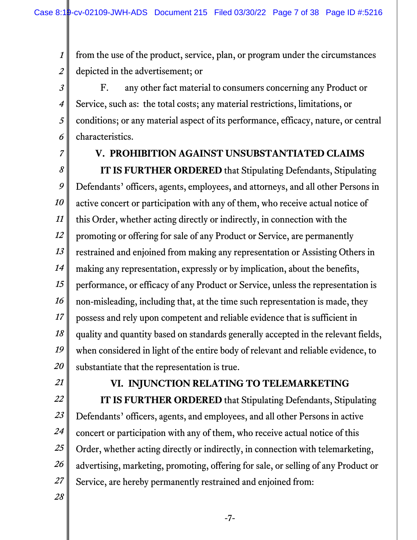*1 2*  from the use of the product, service, plan, or program under the circumstances depicted in the advertisement; or

*5 3 4 6*  F. any other fact material to consumers concerning any Product or Service, such as: the total costs; any material restrictions, limitations, or conditions; or any material aspect of its performance, efficacy, nature, or central characteristics.

*7* 

### **V. PROHIBITION AGAINST UNSUBSTANTIATED CLAIMS**

*10 15 20 8 9 11 12 13 14 16 17 18 19*  **IT IS FURTHER ORDERED** that Stipulating Defendants, Stipulating Defendants' officers, agents, employees, and attorneys, and all other Persons in active concert or participation with any of them, who receive actual notice of this Order, whether acting directly or indirectly, in connection with the promoting or offering for sale of any Product or Service, are permanently restrained and enjoined from making any representation or Assisting Others in making any representation, expressly or by implication, about the benefits, performance, or efficacy of any Product or Service, unless the representation is non-misleading, including that, at the time such representation is made, they possess and rely upon competent and reliable evidence that is sufficient in quality and quantity based on standards generally accepted in the relevant fields, when considered in light of the entire body of relevant and reliable evidence, to substantiate that the representation is true.

*21* 

### **VI. INJUNCTION RELATING TO TELEMARKETING**

*25 22 23 24 26 27*  **IT IS FURTHER ORDERED** that Stipulating Defendants, Stipulating Defendants' officers, agents, and employees, and all other Persons in active concert or participation with any of them, who receive actual notice of this Order, whether acting directly or indirectly, in connection with telemarketing, advertising, marketing, promoting, offering for sale, or selling of any Product or Service, are hereby permanently restrained and enjoined from: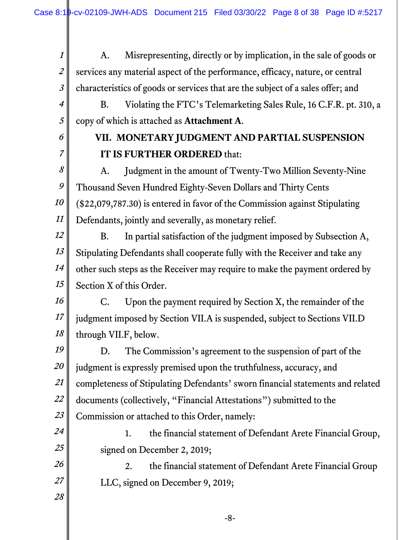*1 2 3*  A. Misrepresenting, directly or by implication, in the sale of goods or services any material aspect of the performance, efficacy, nature, or central characteristics of goods or services that are the subject of a sales offer; and

- *5 4*  B. Violating the FTC's Telemarketing Sales Rule, 16 C.F.R. pt. 310, a copy of which is attached as **Attachment A**.
- *6*

*7* 

# **VII. MONETARY JUDGMENT AND PARTIAL SUSPENSION IT IS FURTHER ORDERED** that:

*10 8 9 11*  A. Judgment in the amount of Twenty-Two Million Seventy-Nine Thousand Seven Hundred Eighty-Seven Dollars and Thirty Cents ([\\$22,079,787.30](https://22,079,787.30)) is entered in favor of the Commission against Stipulating Defendants, jointly and severally, as monetary relief.

*15 12 13 14*  B. In partial satisfaction of the judgment imposed by Subsection A, Stipulating Defendants shall cooperate fully with the Receiver and take any other such steps as the Receiver may require to make the payment ordered by Section X of this Order.

*16 17 18*  C. Upon the payment required by Section X, the remainder of the judgment imposed by Section VII.A is suspended, subject to Sections VII.D through VII.F, below.

*20 19 21 22 23*  D. The Commission's agreement to the suspension of part of the judgment is expressly premised upon the truthfulness, accuracy, and completeness of Stipulating Defendants' sworn financial statements and related documents (collectively, "Financial Attestations") submitted to the Commission or attached to this Order, namely:

1. the financial statement of Defendant Arete Financial Group, signed on December 2, 2019;

2. the financial statement of Defendant Arete Financial Group LLC, signed on December 9, 2019;

*28* 

*25*

*26* 

*27*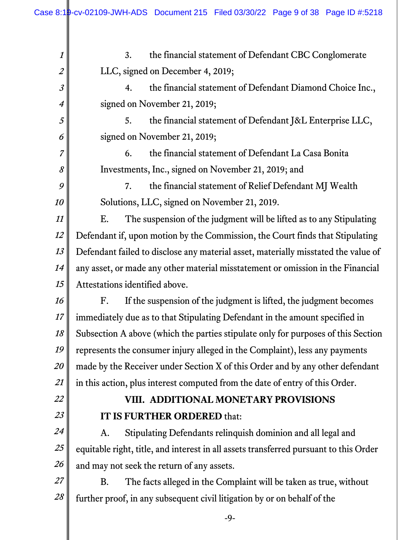*5 10 15 20 25 1 2 3 4 6 7 8 9 11 12 13 14 16 17 18 19 21 22 23 24 26 27 28*  3. the financial statement of Defendant CBC Conglomerate LLC, signed on December 4, 2019; 4. the financial statement of Defendant Diamond Choice Inc., signed on November 21, 2019; 5. the financial statement of Defendant J&L Enterprise LLC, signed on November 21, 2019; 6. the financial statement of Defendant La Casa Bonita Investments, Inc., signed on November 21, 2019; and 7. the financial statement of Relief Defendant MJ Wealth Solutions, LLC, signed on November 21, 2019. E. The suspension of the judgment will be lifted as to any Stipulating Defendant if, upon motion by the Commission, the Court finds that Stipulating Defendant failed to disclose any material asset, materially misstated the value of any asset, or made any other material misstatement or omission in the Financial Attestations identified above. F. If the suspension of the judgment is lifted, the judgment becomes immediately due as to that Stipulating Defendant in the amount specified in Subsection A above (which the parties stipulate only for purposes of this Section represents the consumer injury alleged in the Complaint), less any payments made by the Receiver under Section X of this Order and by any other defendant in this action, plus interest computed from the date of entry of this Order. **VIII. ADDITIONAL MONETARY PROVISIONS IT IS FURTHER ORDERED** that: A. Stipulating Defendants relinquish dominion and all legal and equitable right, title, and interest in all assets transferred pursuant to this Order and may not seek the return of any assets. B. The facts alleged in the Complaint will be taken as true, without further proof, in any subsequent civil litigation by or on behalf of the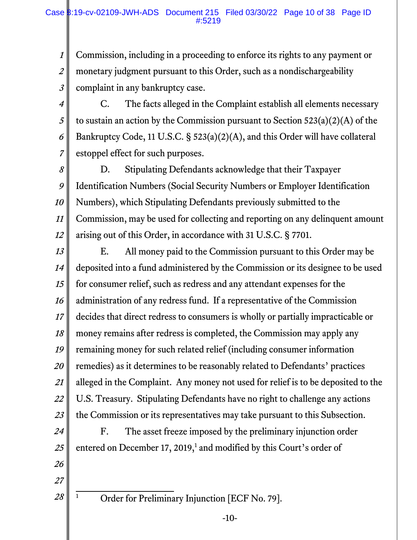*1 2 3*  Commission, including in a proceeding to enforce its rights to any payment or monetary judgment pursuant to this Order, such as a nondischargeability complaint in any bankruptcy case.

*5 4 6 7*  C. The facts alleged in the Complaint establish all elements necessary to sustain an action by the Commission pursuant to Section  $523(a)(2)(A)$  of the Bankruptcy Code, 11 U.S.C. § 523(a)(2)(A), and this Order will have collateral estoppel effect for such purposes.

*10 8 9 11 12*  D. Stipulating Defendants acknowledge that their Taxpayer Identification Numbers (Social Security Numbers or Employer Identification Numbers), which Stipulating Defendants previously submitted to the Commission, may be used for collecting and reporting on any delinquent amount arising out of this Order, in accordance with 31 U.S.C. § 7701.

- *15 20 13 14 16 17 18 19 21 22 23*  E. All money paid to the Commission pursuant to this Order may be deposited into a fund administered by the Commission or its designee to be used for consumer relief, such as redress and any attendant expenses for the administration of any redress fund. If a representative of the Commission decides that direct redress to consumers is wholly or partially impracticable or money remains after redress is completed, the Commission may apply any remaining money for such related relief (including consumer information remedies) as it determines to be reasonably related to Defendants' practices alleged in the Complaint. Any money not used for relief is to be deposited to the U.S. Treasury. Stipulating Defendants have no right to challenge any actions the Commission or its representatives may take pursuant to this Subsection.
- *25 24 26*  F. The asset freeze imposed by the preliminary injunction order entered on December 17, 2019, $^1$  and modified by this Court's order of
- *27 28*

<sup>1</sup> Order for Preliminary Injunction [ECF No. 79].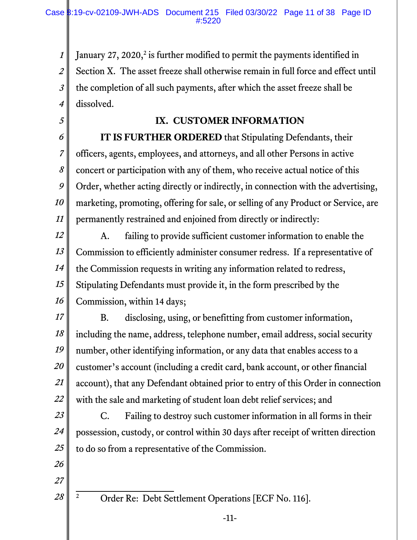*1 2 3 4*  January 27, 2020, $^2$  is further modified to permit the payments identified in Section X. The asset freeze shall otherwise remain in full force and effect until the completion of all such payments, after which the asset freeze shall be dissolved.

## **IX. CUSTOMER INFORMATION**

*10 6 7 8 9 11*  **IT IS FURTHER ORDERED** that Stipulating Defendants, their officers, agents, employees, and attorneys, and all other Persons in active concert or participation with any of them, who receive actual notice of this Order, whether acting directly or indirectly, in connection with the advertising, marketing, promoting, offering for sale, or selling of any Product or Service, are permanently restrained and enjoined from directly or indirectly:

*15 12 13 14 16*  A. failing to provide sufficient customer information to enable the Commission to efficiently administer consumer redress. If a representative of the Commission requests in writing any information related to redress, Stipulating Defendants must provide it, in the form prescribed by the Commission, within 14 days;

*20 17 18 19 21 22*  B. disclosing, using, or benefitting from customer information, including the name, address, telephone number, email address, social security number, other identifying information, or any data that enables access to a customer's account (including a credit card, bank account, or other financial account), that any Defendant obtained prior to entry of this Order in connection with the sale and marketing of student loan debt relief services; and

*25 23 24*  C. Failing to destroy such customer information in all forms in their possession, custody, or control within 30 days after receipt of written direction to do so from a representative of the Commission.

*26* 

- *27*
- *28*  <sup>2</sup> Order Re: Debt Settlement Operations [ECF No. 116].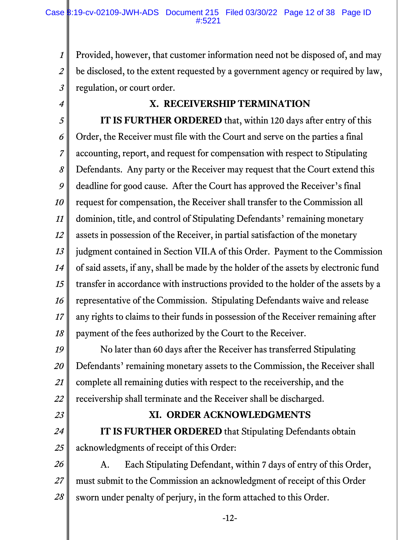*1 2 3*  Provided, however, that customer information need not be disposed of, and may be disclosed, to the extent requested by a government agency or required by law, regulation, or court order.

*4* 

## **X. RECEIVERSHIP TERMINATION**

*5 10 15 6 7 8 9 11 12 13 14 16 17 18*  **IT IS FURTHER ORDERED** that, within 120 days after entry of this Order, the Receiver must file with the Court and serve on the parties a final accounting, report, and request for compensation with respect to Stipulating Defendants. Any party or the Receiver may request that the Court extend this deadline for good cause. After the Court has approved the Receiver's final request for compensation, the Receiver shall transfer to the Commission all dominion, title, and control of Stipulating Defendants' remaining monetary assets in possession of the Receiver, in partial satisfaction of the monetary judgment contained in Section VII.A of this Order. Payment to the Commission of said assets, if any, shall be made by the holder of the assets by electronic fund transfer in accordance with instructions provided to the holder of the assets by a representative of the Commission. Stipulating Defendants waive and release any rights to claims to their funds in possession of the Receiver remaining after payment of the fees authorized by the Court to the Receiver.

*20 19 21 22*  No later than 60 days after the Receiver has transferred Stipulating Defendants' remaining monetary assets to the Commission, the Receiver shall complete all remaining duties with respect to the receivership, and the receivership shall terminate and the Receiver shall be discharged.

*23* 

### **XI. ORDER ACKNOWLEDGMENTS**

*25 24*  **IT IS FURTHER ORDERED** that Stipulating Defendants obtain acknowledgments of receipt of this Order:

*26 27 28*  A. Each Stipulating Defendant, within 7 days of entry of this Order, must submit to the Commission an acknowledgment of receipt of this Order sworn under penalty of perjury, in the form attached to this Order.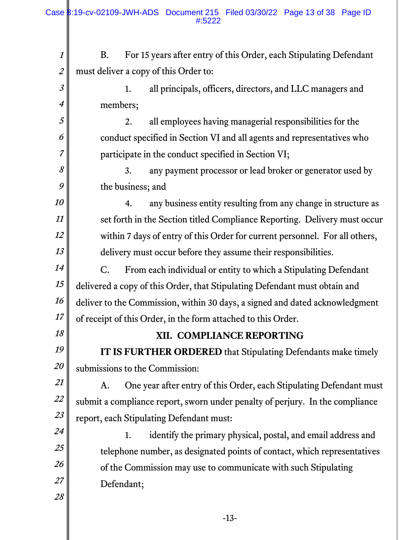*1 2*  B. For 15 years after entry of this Order, each Stipulating Defendant must deliver a copy of this Order to:

*3* 

*5*

*6* 

*7* 

*8* 

*9* 

*4* 

1. all principals, officers, directors, and LLC managers and members;

2. all employees having managerial responsibilities for the conduct specified in Section VI and all agents and representatives who participate in the conduct specified in Section VI;

3. any payment processor or lead broker or generator used by the business; and

*10 11 12 13*  4. any business entity resulting from any change in structure as set forth in the Section titled Compliance Reporting. Delivery must occur within 7 days of entry of this Order for current personnel. For all others, delivery must occur before they assume their responsibilities.

*15 14 16 17*  C. From each individual or entity to which a Stipulating Defendant delivered a copy of this Order, that Stipulating Defendant must obtain and deliver to the Commission, within 30 days, a signed and dated acknowledgment of receipt of this Order, in the form attached to this Order.

*18* 

## *19*

## **XII. COMPLIANCE REPORTING**

*20* **IT IS FURTHER ORDERED** that Stipulating Defendants make timely submissions to the Commission:

*21 22 23*  A. One year after entry of this Order, each Stipulating Defendant must submit a compliance report, sworn under penalty of perjury. In the compliance report, each Stipulating Defendant must:

*25 24*  1. identify the primary physical, postal, and email address and telephone number, as designated points of contact, which representatives of the Commission may use to communicate with such Stipulating Defendant;

*28* 

*26*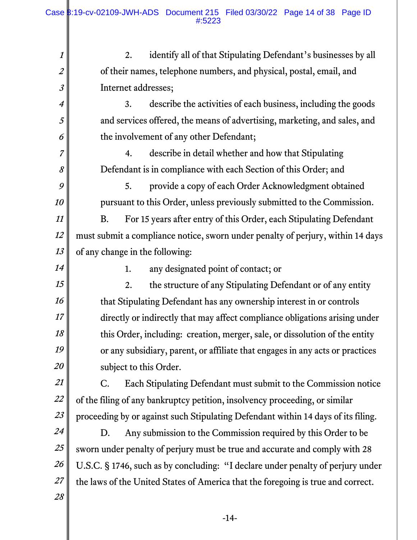2. identify all of that Stipulating Defendant's businesses by all of their names, telephone numbers, and physical, postal, email, and Internet addresses;

3. describe the activities of each business, including the goods and services offered, the means of advertising, marketing, and sales, and the involvement of any other Defendant;

4. describe in detail whether and how that Stipulating Defendant is in compliance with each Section of this Order; and

5. provide a copy of each Order Acknowledgment obtained pursuant to this Order, unless previously submitted to the Commission.

*11 12 13*  B. For 15 years after entry of this Order, each Stipulating Defendant must submit a compliance notice, sworn under penalty of perjury, within 14 days of any change in the following:

*14* 

*15*

*16* 

*17* 

*18* 

*19* 

*20*

*10*

*5*

*6* 

*7* 

*8* 

*9* 

*4* 

*1* 

*2* 

*3* 

1. any designated point of contact; or

2. the structure of any Stipulating Defendant or of any entity that Stipulating Defendant has any ownership interest in or controls directly or indirectly that may affect compliance obligations arising under this Order, including: creation, merger, sale, or dissolution of the entity or any subsidiary, parent, or affiliate that engages in any acts or practices subject to this Order.

*21 22 23*  C. Each Stipulating Defendant must submit to the Commission notice of the filing of any bankruptcy petition, insolvency proceeding, or similar proceeding by or against such Stipulating Defendant within 14 days of its filing.

*25 24 26 27*  D. Any submission to the Commission required by this Order to be sworn under penalty of perjury must be true and accurate and comply with 28 U.S.C. § 1746, such as by concluding: "I declare under penalty of perjury under the laws of the United States of America that the foregoing is true and correct.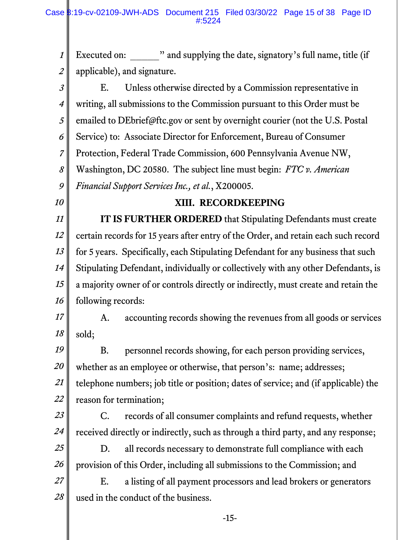*1 2*  Executed on: \_\_\_\_\_\_ " and supplying the date, signatory's full name, title (if applicable), and signature.

*5 3 4 6 7 8 9*  E. Unless otherwise directed by a Commission representative in writing, all submissions to the Commission pursuant to this Order must be emailed to [DEbrief@ftc.gov](mailto:DEbrief@ftc.gov) or sent by overnight courier (not the U.S. Postal Service) to: Associate Director for Enforcement, Bureau of Consumer Protection, Federal Trade Commission, 600 Pennsylvania Avenue NW, Washington, DC 20580. The subject line must begin: *FTC v. American Financial Support Services Inc., et al.*, X200005.

*10*

## **XIII. RECORDKEEPING**

*15 11 12 13 14 16*  **IT IS FURTHER ORDERED** that Stipulating Defendants must create certain records for 15 years after entry of the Order, and retain each such record for 5 years. Specifically, each Stipulating Defendant for any business that such Stipulating Defendant, individually or collectively with any other Defendants, is a majority owner of or controls directly or indirectly, must create and retain the following records:

*17 18*  A. accounting records showing the revenues from all goods or services sold;

*20 19 21 22*  B. personnel records showing, for each person providing services, whether as an employee or otherwise, that person's: name; addresses; telephone numbers; job title or position; dates of service; and (if applicable) the reason for termination;

*23 24*  C. records of all consumer complaints and refund requests, whether received directly or indirectly, such as through a third party, and any response;

*25 26*  D. all records necessary to demonstrate full compliance with each provision of this Order, including all submissions to the Commission; and

*27 28*  E. a listing of all payment processors and lead brokers or generators used in the conduct of the business.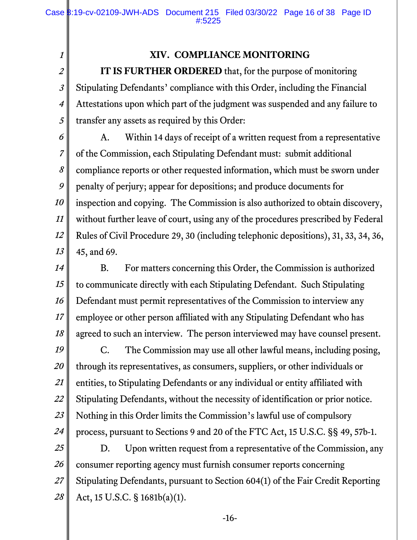*1* 

### **XIV. COMPLIANCE MONITORING**

*5 2 3 4*  **IT IS FURTHER ORDERED** that, for the purpose of monitoring Stipulating Defendants' compliance with this Order, including the Financial Attestations upon which part of the judgment was suspended and any failure to transfer any assets as required by this Order:

*10 6 7 8 9 11 12 13*  A. Within 14 days of receipt of a written request from a representative of the Commission, each Stipulating Defendant must: submit additional compliance reports or other requested information, which must be sworn under penalty of perjury; appear for depositions; and produce documents for inspection and copying. The Commission is also authorized to obtain discovery, without further leave of court, using any of the procedures prescribed by Federal Rules of Civil Procedure 29, 30 (including telephonic depositions), 31, 33, 34, 36, 45, and 69.

*15 14 16 17 18*  B. For matters concerning this Order, the Commission is authorized to communicate directly with each Stipulating Defendant. Such Stipulating Defendant must permit representatives of the Commission to interview any employee or other person affiliated with any Stipulating Defendant who has agreed to such an interview. The person interviewed may have counsel present.

*20 19 21 22 23 24*  C. The Commission may use all other lawful means, including posing, through its representatives, as consumers, suppliers, or other individuals or entities, to Stipulating Defendants or any individual or entity affiliated with Stipulating Defendants, without the necessity of identification or prior notice. Nothing in this Order limits the Commission's lawful use of compulsory process, pursuant to Sections 9 and 20 of the FTC Act, 15 U.S.C. §§ 49, 57b-1.

*25 26 27 28*  D. Upon written request from a representative of the Commission, any consumer reporting agency must furnish consumer reports concerning Stipulating Defendants, pursuant to Section 604(1) of the Fair Credit Reporting Act, 15 U.S.C. § 1681b(a)(1).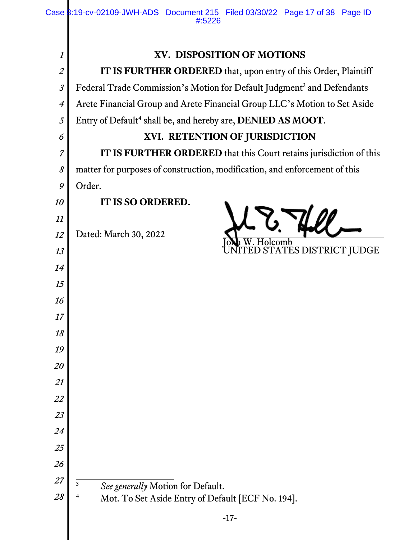II

| 1              | XV. DISPOSITION OF MOTIONS                                                         |
|----------------|------------------------------------------------------------------------------------|
| $\overline{2}$ | IT IS FURTHER ORDERED that, upon entry of this Order, Plaintiff                    |
| $\mathfrak{Z}$ | Federal Trade Commission's Motion for Default Judgment <sup>3</sup> and Defendants |
| $\overline{4}$ | Arete Financial Group and Arete Financial Group LLC's Motion to Set Aside          |
| 5              | Entry of Default <sup>4</sup> shall be, and hereby are, <b>DENIED AS MOOT</b> .    |
| 6              | XVI. RETENTION OF JURISDICTION                                                     |
| 7              | IT IS FURTHER ORDERED that this Court retains jurisdiction of this                 |
| 8              | matter for purposes of construction, modification, and enforcement of this         |
| 9              | Order.                                                                             |
| 10             | IT IS SO ORDERED.                                                                  |
| 11             |                                                                                    |
| 12             | Dated: March 30, 2022                                                              |
| 13             | n W. Holcomb<br>ITED STATES DISTRICT JUDGE                                         |
| 14             |                                                                                    |
| 15             |                                                                                    |
| 16             |                                                                                    |
| 17             |                                                                                    |
| 18             |                                                                                    |
| 19             |                                                                                    |
| 20             |                                                                                    |
| 21             |                                                                                    |
| 22             |                                                                                    |
| 23             |                                                                                    |
| 24             |                                                                                    |
| 25             |                                                                                    |
| 26             |                                                                                    |
| 27             | 3<br>See generally Motion for Default.                                             |
| 28             | Mot. To Set Aside Entry of Default [ECF No. 194].                                  |
|                | $-17-$                                                                             |
|                |                                                                                    |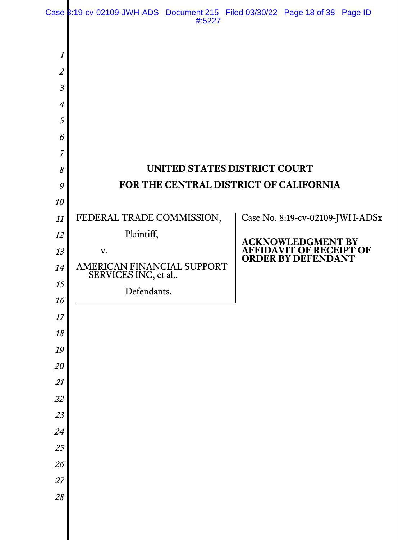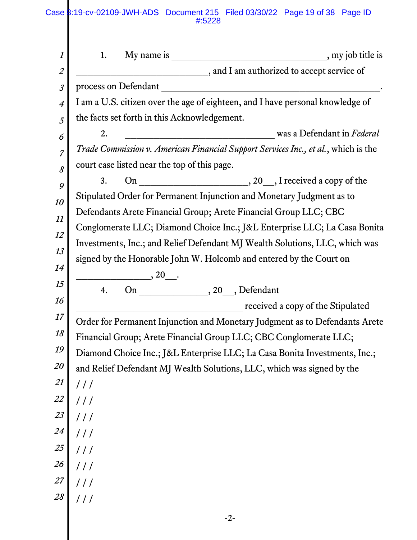### Case 8:19-cv-02109-JWH-ADS Document 215 Filed 03/30/22 Page 19 of 38 Page ID #:5228

| and I am authorized to accept service of<br>$\overline{2}$<br>process on Defendant<br>$\mathfrak{Z}$<br>I am a U.S. citizen over the age of eighteen, and I have personal knowledge of<br>$\overline{4}$<br>the facts set forth in this Acknowledgement.<br>5<br>was a Defendant in Federal<br>2.<br>6<br>$\overline{7}$<br>court case listed near the top of this page.<br>8<br>3.<br>9<br>Stipulated Order for Permanent Injunction and Monetary Judgment as to<br>Defendants Arete Financial Group; Arete Financial Group LLC; CBC<br>signed by the Honorable John W. Holcomb and entered by the Court on<br>$\frac{1}{\sqrt{1-\frac{1}{2}}}\frac{1}{\sqrt{1-\frac{1}{2}}}\frac{1}{\sqrt{1-\frac{1}{2}}}\frac{1}{\sqrt{1-\frac{1}{2}}}\frac{1}{\sqrt{1-\frac{1}{2}}}\frac{1}{\sqrt{1-\frac{1}{2}}}\frac{1}{\sqrt{1-\frac{1}{2}}}\frac{1}{\sqrt{1-\frac{1}{2}}}\frac{1}{\sqrt{1-\frac{1}{2}}}\frac{1}{\sqrt{1-\frac{1}{2}}}\frac{1}{\sqrt{1-\frac{1}{2}}}\frac{1}{\sqrt{1-\frac{1}{2}}}\frac{1}{\sqrt{1-\frac{1}{2}}}\frac{1}{\sqrt{1-\frac{$<br>4.<br>received a copy of the Stipulated<br>Financial Group; Arete Financial Group LLC; CBC Conglomerate LLC;<br>and Relief Defendant MJ Wealth Solutions, LLC, which was signed by the<br>111<br>111<br>111<br>111<br>111<br>111<br>111<br>111 |                           |                                                                                    |  |  |  |  |  |
|---------------------------------------------------------------------------------------------------------------------------------------------------------------------------------------------------------------------------------------------------------------------------------------------------------------------------------------------------------------------------------------------------------------------------------------------------------------------------------------------------------------------------------------------------------------------------------------------------------------------------------------------------------------------------------------------------------------------------------------------------------------------------------------------------------------------------------------------------------------------------------------------------------------------------------------------------------------------------------------------------------------------------------------------------------------------------------------------------------------------------------------------------------------------------------------------------------------------------------------------------------------------------------------------------|---------------------------|------------------------------------------------------------------------------------|--|--|--|--|--|
| 11<br>15<br>18                                                                                                                                                                                                                                                                                                                                                                                                                                                                                                                                                                                                                                                                                                                                                                                                                                                                                                                                                                                                                                                                                                                                                                                                                                                                                    | $\boldsymbol{\mathit{1}}$ | 1.                                                                                 |  |  |  |  |  |
|                                                                                                                                                                                                                                                                                                                                                                                                                                                                                                                                                                                                                                                                                                                                                                                                                                                                                                                                                                                                                                                                                                                                                                                                                                                                                                   |                           |                                                                                    |  |  |  |  |  |
|                                                                                                                                                                                                                                                                                                                                                                                                                                                                                                                                                                                                                                                                                                                                                                                                                                                                                                                                                                                                                                                                                                                                                                                                                                                                                                   |                           |                                                                                    |  |  |  |  |  |
|                                                                                                                                                                                                                                                                                                                                                                                                                                                                                                                                                                                                                                                                                                                                                                                                                                                                                                                                                                                                                                                                                                                                                                                                                                                                                                   |                           |                                                                                    |  |  |  |  |  |
| 10<br>12<br>13<br>16<br>17                                                                                                                                                                                                                                                                                                                                                                                                                                                                                                                                                                                                                                                                                                                                                                                                                                                                                                                                                                                                                                                                                                                                                                                                                                                                        |                           |                                                                                    |  |  |  |  |  |
|                                                                                                                                                                                                                                                                                                                                                                                                                                                                                                                                                                                                                                                                                                                                                                                                                                                                                                                                                                                                                                                                                                                                                                                                                                                                                                   |                           |                                                                                    |  |  |  |  |  |
|                                                                                                                                                                                                                                                                                                                                                                                                                                                                                                                                                                                                                                                                                                                                                                                                                                                                                                                                                                                                                                                                                                                                                                                                                                                                                                   |                           | Trade Commission v. American Financial Support Services Inc., et al., which is the |  |  |  |  |  |
|                                                                                                                                                                                                                                                                                                                                                                                                                                                                                                                                                                                                                                                                                                                                                                                                                                                                                                                                                                                                                                                                                                                                                                                                                                                                                                   |                           |                                                                                    |  |  |  |  |  |
|                                                                                                                                                                                                                                                                                                                                                                                                                                                                                                                                                                                                                                                                                                                                                                                                                                                                                                                                                                                                                                                                                                                                                                                                                                                                                                   |                           |                                                                                    |  |  |  |  |  |
|                                                                                                                                                                                                                                                                                                                                                                                                                                                                                                                                                                                                                                                                                                                                                                                                                                                                                                                                                                                                                                                                                                                                                                                                                                                                                                   |                           |                                                                                    |  |  |  |  |  |
| 14                                                                                                                                                                                                                                                                                                                                                                                                                                                                                                                                                                                                                                                                                                                                                                                                                                                                                                                                                                                                                                                                                                                                                                                                                                                                                                |                           |                                                                                    |  |  |  |  |  |
|                                                                                                                                                                                                                                                                                                                                                                                                                                                                                                                                                                                                                                                                                                                                                                                                                                                                                                                                                                                                                                                                                                                                                                                                                                                                                                   |                           | Conglomerate LLC; Diamond Choice Inc.; J&L Enterprise LLC; La Casa Bonita          |  |  |  |  |  |
|                                                                                                                                                                                                                                                                                                                                                                                                                                                                                                                                                                                                                                                                                                                                                                                                                                                                                                                                                                                                                                                                                                                                                                                                                                                                                                   |                           | Investments, Inc.; and Relief Defendant MJ Wealth Solutions, LLC, which was        |  |  |  |  |  |
|                                                                                                                                                                                                                                                                                                                                                                                                                                                                                                                                                                                                                                                                                                                                                                                                                                                                                                                                                                                                                                                                                                                                                                                                                                                                                                   |                           |                                                                                    |  |  |  |  |  |
| 19<br>20<br>21<br>22<br>23<br>24<br>25<br>26<br>27<br>28                                                                                                                                                                                                                                                                                                                                                                                                                                                                                                                                                                                                                                                                                                                                                                                                                                                                                                                                                                                                                                                                                                                                                                                                                                          |                           |                                                                                    |  |  |  |  |  |
|                                                                                                                                                                                                                                                                                                                                                                                                                                                                                                                                                                                                                                                                                                                                                                                                                                                                                                                                                                                                                                                                                                                                                                                                                                                                                                   |                           |                                                                                    |  |  |  |  |  |
|                                                                                                                                                                                                                                                                                                                                                                                                                                                                                                                                                                                                                                                                                                                                                                                                                                                                                                                                                                                                                                                                                                                                                                                                                                                                                                   |                           |                                                                                    |  |  |  |  |  |
|                                                                                                                                                                                                                                                                                                                                                                                                                                                                                                                                                                                                                                                                                                                                                                                                                                                                                                                                                                                                                                                                                                                                                                                                                                                                                                   |                           | Order for Permanent Injunction and Monetary Judgment as to Defendants Arete        |  |  |  |  |  |
|                                                                                                                                                                                                                                                                                                                                                                                                                                                                                                                                                                                                                                                                                                                                                                                                                                                                                                                                                                                                                                                                                                                                                                                                                                                                                                   |                           |                                                                                    |  |  |  |  |  |
|                                                                                                                                                                                                                                                                                                                                                                                                                                                                                                                                                                                                                                                                                                                                                                                                                                                                                                                                                                                                                                                                                                                                                                                                                                                                                                   |                           | Diamond Choice Inc.; J&L Enterprise LLC; La Casa Bonita Investments, Inc.;         |  |  |  |  |  |
|                                                                                                                                                                                                                                                                                                                                                                                                                                                                                                                                                                                                                                                                                                                                                                                                                                                                                                                                                                                                                                                                                                                                                                                                                                                                                                   |                           |                                                                                    |  |  |  |  |  |
|                                                                                                                                                                                                                                                                                                                                                                                                                                                                                                                                                                                                                                                                                                                                                                                                                                                                                                                                                                                                                                                                                                                                                                                                                                                                                                   |                           |                                                                                    |  |  |  |  |  |
|                                                                                                                                                                                                                                                                                                                                                                                                                                                                                                                                                                                                                                                                                                                                                                                                                                                                                                                                                                                                                                                                                                                                                                                                                                                                                                   |                           |                                                                                    |  |  |  |  |  |
|                                                                                                                                                                                                                                                                                                                                                                                                                                                                                                                                                                                                                                                                                                                                                                                                                                                                                                                                                                                                                                                                                                                                                                                                                                                                                                   |                           |                                                                                    |  |  |  |  |  |
|                                                                                                                                                                                                                                                                                                                                                                                                                                                                                                                                                                                                                                                                                                                                                                                                                                                                                                                                                                                                                                                                                                                                                                                                                                                                                                   |                           |                                                                                    |  |  |  |  |  |
|                                                                                                                                                                                                                                                                                                                                                                                                                                                                                                                                                                                                                                                                                                                                                                                                                                                                                                                                                                                                                                                                                                                                                                                                                                                                                                   |                           |                                                                                    |  |  |  |  |  |
|                                                                                                                                                                                                                                                                                                                                                                                                                                                                                                                                                                                                                                                                                                                                                                                                                                                                                                                                                                                                                                                                                                                                                                                                                                                                                                   |                           |                                                                                    |  |  |  |  |  |
|                                                                                                                                                                                                                                                                                                                                                                                                                                                                                                                                                                                                                                                                                                                                                                                                                                                                                                                                                                                                                                                                                                                                                                                                                                                                                                   |                           |                                                                                    |  |  |  |  |  |
|                                                                                                                                                                                                                                                                                                                                                                                                                                                                                                                                                                                                                                                                                                                                                                                                                                                                                                                                                                                                                                                                                                                                                                                                                                                                                                   |                           |                                                                                    |  |  |  |  |  |
| $-2-$                                                                                                                                                                                                                                                                                                                                                                                                                                                                                                                                                                                                                                                                                                                                                                                                                                                                                                                                                                                                                                                                                                                                                                                                                                                                                             |                           |                                                                                    |  |  |  |  |  |

 $\parallel$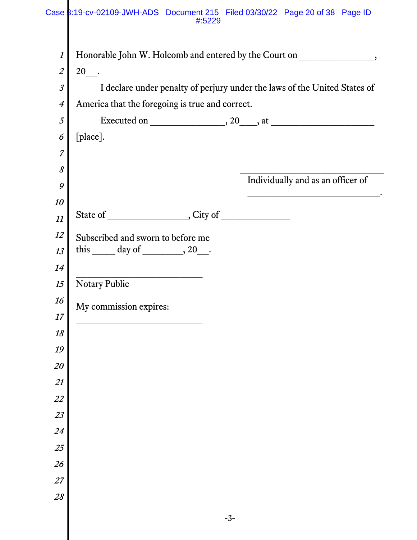|                       | Case \$:19-cv-02109-JWH-ADS Document 215 Filed 03/30/22 Page 20 of 38 Page ID<br>#:5229 |       |                                                                           |
|-----------------------|-----------------------------------------------------------------------------------------|-------|---------------------------------------------------------------------------|
| $\boldsymbol{1}$      | Honorable John W. Holcomb and entered by the Court on ___________________________       |       |                                                                           |
| $\overline{2}$        | $20$ .                                                                                  |       |                                                                           |
| $\mathfrak{Z}$        |                                                                                         |       | I declare under penalty of perjury under the laws of the United States of |
| $\boldsymbol{4}$      | America that the foregoing is true and correct.                                         |       |                                                                           |
| 5                     |                                                                                         |       |                                                                           |
| 6                     | [place].                                                                                |       |                                                                           |
| $\overline{7}$        |                                                                                         |       |                                                                           |
| $\boldsymbol{\delta}$ |                                                                                         |       |                                                                           |
| 9                     |                                                                                         |       | Individually and as an officer of                                         |
| 10                    |                                                                                         |       |                                                                           |
| 11                    |                                                                                         |       |                                                                           |
| 12                    | Subscribed and sworn to before me                                                       |       |                                                                           |
| 13                    | this $\_\_\_\_$ day of $\_\_\_\_\_$ , 20 $\_\_\_\_\$ .                                  |       |                                                                           |
| 14                    |                                                                                         |       |                                                                           |
| 15                    | <b>Notary Public</b>                                                                    |       |                                                                           |
| 16                    | My commission expires:                                                                  |       |                                                                           |
| 17                    |                                                                                         |       |                                                                           |
| $18$                  |                                                                                         |       |                                                                           |
| 19                    |                                                                                         |       |                                                                           |
| 20                    |                                                                                         |       |                                                                           |
| 21                    |                                                                                         |       |                                                                           |
| 22                    |                                                                                         |       |                                                                           |
| 23                    |                                                                                         |       |                                                                           |
| 24                    |                                                                                         |       |                                                                           |
| 25                    |                                                                                         |       |                                                                           |
| 26                    |                                                                                         |       |                                                                           |
| 27                    |                                                                                         |       |                                                                           |
| 28                    |                                                                                         |       |                                                                           |
|                       |                                                                                         | $-3-$ |                                                                           |
|                       |                                                                                         |       |                                                                           |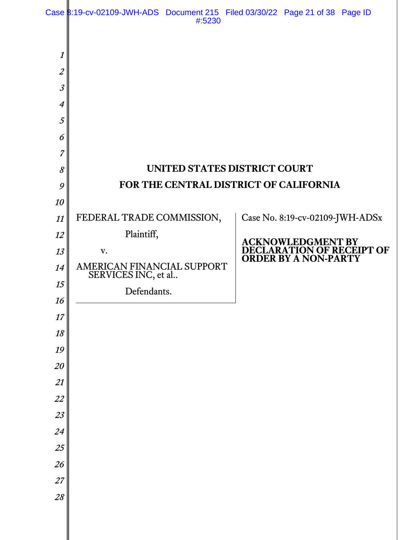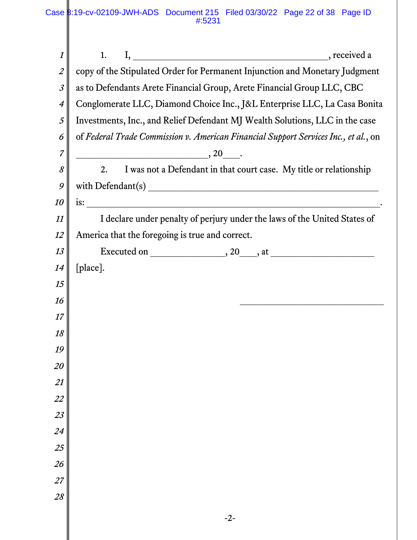| Case 8:19-cv-02109-JWH-ADS Document 215 Filed 03/30/22 Page 22 of 38 Page ID |        |  |  |
|------------------------------------------------------------------------------|--------|--|--|
|                                                                              | #:5231 |  |  |

| $\boldsymbol{\it 1}$ | 1.                                                                                  |
|----------------------|-------------------------------------------------------------------------------------|
| $\overline{2}$       | copy of the Stipulated Order for Permanent Injunction and Monetary Judgment         |
| $\mathfrak{Z}$       | as to Defendants Arete Financial Group, Arete Financial Group LLC, CBC              |
| $\boldsymbol{4}$     | Conglomerate LLC, Diamond Choice Inc., J&L Enterprise LLC, La Casa Bonita           |
| 5                    | Investments, Inc., and Relief Defendant MJ Wealth Solutions, LLC in the case        |
| 6                    | of Federal Trade Commission v. American Financial Support Services Inc., et al., on |
| $\overline{7}$       | $\overbrace{\hspace{2.5cm}}^{20}$ .                                                 |
| 8                    | I was not a Defendant in that court case. My title or relationship<br>2.            |
| 9                    |                                                                                     |
| 10                   |                                                                                     |
| 11                   | I declare under penalty of perjury under the laws of the United States of           |
| 12                   | America that the foregoing is true and correct.                                     |
| 13                   |                                                                                     |
| 14                   | [place].                                                                            |
| 15                   |                                                                                     |
| 16                   |                                                                                     |
| 17                   |                                                                                     |
| $18$                 |                                                                                     |
| 19                   |                                                                                     |
| 20                   |                                                                                     |
| 21                   |                                                                                     |
| 22                   |                                                                                     |
| 23                   |                                                                                     |
| 24                   |                                                                                     |
| 25                   |                                                                                     |
| 26                   |                                                                                     |
| 27                   |                                                                                     |
| 28                   |                                                                                     |
|                      | $-2-$                                                                               |
|                      |                                                                                     |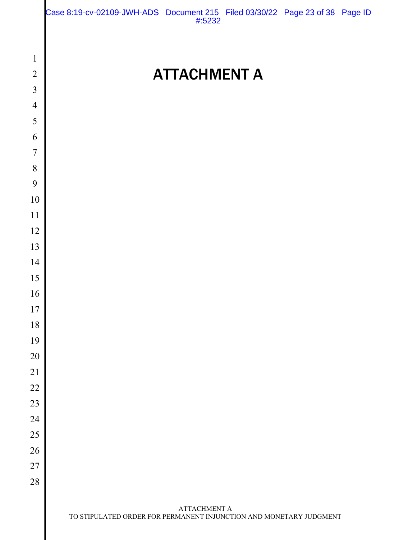|                | $\left[\begin{matrix} \text{Case }8:19\text{-cv-02109-JWH-ADS} & \text{Document }215 & \text{Field }03/30/22 & \text{Page }23 \text{ of }38 & \text{Page ID} \ +:5232 & \end{matrix}\right]$ |
|----------------|----------------------------------------------------------------------------------------------------------------------------------------------------------------------------------------------|
|                |                                                                                                                                                                                              |
| $\mathbf{1}$   |                                                                                                                                                                                              |
| $\overline{2}$ | <b>ATTACHMENT A</b>                                                                                                                                                                          |
| $\overline{3}$ |                                                                                                                                                                                              |
| $\overline{4}$ |                                                                                                                                                                                              |
| 5              |                                                                                                                                                                                              |
| 6              |                                                                                                                                                                                              |
| $\overline{7}$ |                                                                                                                                                                                              |
| 8              |                                                                                                                                                                                              |
| 9              |                                                                                                                                                                                              |
| 10             |                                                                                                                                                                                              |
| 11             |                                                                                                                                                                                              |
| 12             |                                                                                                                                                                                              |
| 13             |                                                                                                                                                                                              |
| 14<br>15       |                                                                                                                                                                                              |
| 16             |                                                                                                                                                                                              |
| 17             |                                                                                                                                                                                              |
| 18             |                                                                                                                                                                                              |
| 19             |                                                                                                                                                                                              |
| 20             |                                                                                                                                                                                              |
| 21             |                                                                                                                                                                                              |
| 22             |                                                                                                                                                                                              |
| 23             |                                                                                                                                                                                              |
| 24             |                                                                                                                                                                                              |
| 25             |                                                                                                                                                                                              |
| 26             |                                                                                                                                                                                              |
| $27\,$         |                                                                                                                                                                                              |
| 28             |                                                                                                                                                                                              |
|                |                                                                                                                                                                                              |
|                | ATTACHMENT A<br>TO STIDUIL A TED ORDER EOR REDMANIENT INIUNCTION AND MONETARY HIDGMENT                                                                                                       |

TO STIPULATED ORDER FOR PERMANENT INJUNCTION AND MONETARY JUDGMENT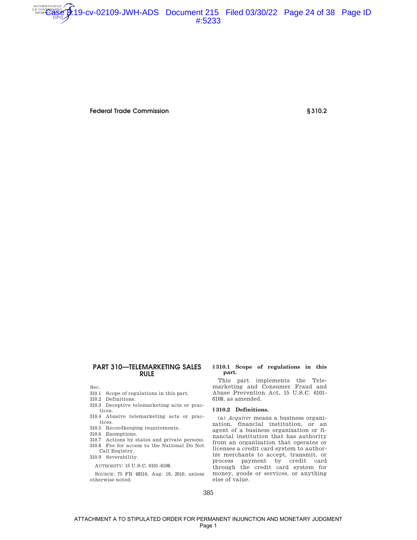

**Federal Trade Commission § 310.2** 

#### **PART 310—TELEMARKETING SALES RULE**

Sec.

- 310.1 Scope of regulations in this part.
- 310.2 Definitions.
- 310.3 Deceptive telemarketing acts or practices.
- 310.4 Abusive telemarketing acts or practices.
- 310.5 Recordkeeping requirements.
- 310.6 Exemptions.
- 310.7 Actions by states and private persons.
- 310.8 Fee for access to the National Do Not
- Call Registry.
- 310.9 Severability.

AUTHORITY: 15 U.S.C. 6101–6108.

SOURCE: 75 FR 48516, Aug. 10, 2010, unless otherwise noted.

#### **§ 310.1 Scope of regulations in this part.**

This part implements the Telemarketing and Consumer Fraud and Abuse Prevention Act, 15 U.S.C. 6101- 6108, as amended.

#### **§ 310.2 Definitions.**

(a) *Acquirer* means a business organization, financial institution, or an agent of a business organization or financial institution that has authority from an organization that operates or licenses a credit card system to authorize merchants to accept, transmit, or process payment by credit card through the credit card system for money, goods or services, or anything else of value.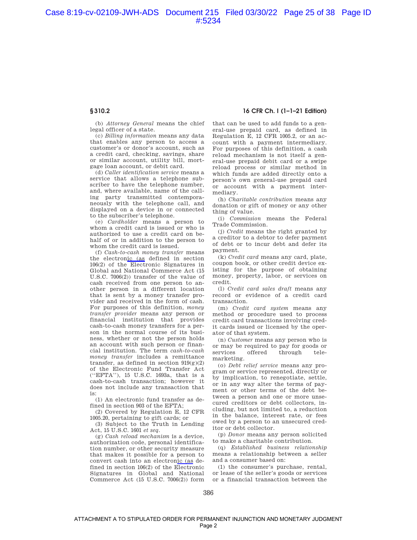Case 8:19-cv-02109-JWH-ADS Document 215 Filed 03/30/22 Page 25 of 38 Page ID #:5234

#### **§ 310.2**

(b) *Attorney General* means the chief legal officer of a state.

(c) *Billing information* means any data that enables any person to access a customer's or donor's account, such as a credit card, checking, savings, share or similar account, utility bill, mortgage loan account, or debit card.

(d) *Caller identification service* means a service that allows a telephone subscriber to have the telephone number, and, where available, name of the calling party transmitted contemporaneously with the telephone call, and displayed on a device in or connected to the subscriber's telephone.

(e) *Cardholder* means a person to whom a credit card is issued or who is authorized to use a credit card on behalf of or in addition to the person to whom the credit card is issued.

(f) *Cash-to-cash money transfer* means the electron[ic \(as](https://www.westlaw.com/Link/Document/FullText?rs=USCLink&vr=3.0&findType=Y&cite=ic%2B%2B&clientid=USCourts) defined in section 106(2) of the Electronic Signatures in Global and National Commerce Act (15 U.S.C. 7006(2)) transfer of the value of cash received from one person to another person in a different location that is sent by a money transfer provider and received in the form of cash. For purposes of this definition, *money transfer provider* means any person or financial institution that provides cash-to-cash money transfers for a person in the normal course of its business, whether or not the person holds an account with such person or financial institution. The term *cash-to-cash money transfer* includes a remittance transfer, as defined in section  $919(y)(2)$ of the Electronic Fund Transfer Act (''EFTA''), 15 U.S.C. 1693a, that is a cash-to-cash transaction; however it does not include any transaction that is:

(1) An electronic fund transfer as defined in section 903 of the EFTA;

(2) Covered by Regulation E, 12 CFR 1005.20, pertaining to gift cards; or

(3) Subject to the Truth in Lending Act, 15 U.S.C. 1601 *et seq.* 

(g) *Cash reload mechanism* is a device, authorization code, personal identification number, or other security measure that makes it possible for a person to convert cash into an electro[nic \(as](https://www.westlaw.com/Link/Document/FullText?rs=USCLink&vr=3.0&findType=Y&cite=ic%2B%2B&clientid=USCourts) defined in section 106(2) of the Electronic Signatures in Global and National Commerce Act (15 U.S.C. 7006(2)) form

#### **16 CFR Ch. I (1–1–21 Edition)**

that can be used to add funds to a general-use prepaid card, as defined in Regulation E, 12 CFR 1005.2, or an account with a payment intermediary. For purposes of this definition, a cash reload mechanism is not itself a general-use prepaid debit card or a swipe reload process or similar method in which funds are added directly onto a person's own general-use prepaid card or account with a payment intermediary.

(h) *Charitable contribution* means any donation or gift of money or any other thing of value.

(i) *Commission* means the Federal Trade Commission.

(j) *Credit* means the right granted by a creditor to a debtor to defer payment of debt or to incur debt and defer its payment.

(k) *Credit card* means any card, plate, coupon book, or other credit device existing for the purpose of obtaining money, property, labor, or services on credit.

(l) *Credit card sales draft* means any record or evidence of a credit card transaction.

(m) *Credit card system* means any method or procedure used to process credit card transactions involving credit cards issued or licensed by the operator of that system.

(n) *Customer* means any person who is or may be required to pay for goods or services offered through telemarketing.

(o) *Debt relief service* means any program or service represented, directly or by implication, to renegotiate, settle, or in any way alter the terms of payment or other terms of the debt between a person and one or more unsecured creditors or debt collectors, including, but not limited to, a reduction in the balance, interest rate, or fees owed by a person to an unsecured creditor or debt collector.

(p) *Donor* means any person solicited to make a charitable contribution.

(q) *Established business relationship*  means a relationship between a seller and a consumer based on:

(1) the consumer's purchase, rental, or lease of the seller's goods or services or a financial transaction between the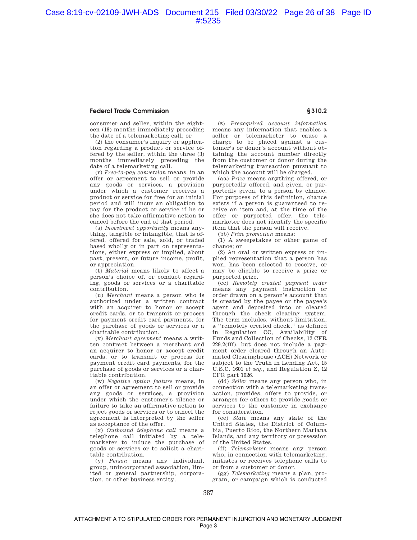Case 8:19-cv-02109-JWH-ADS Document 215 Filed 03/30/22 Page 26 of 38 Page ID #:5235

#### **Federal Trade Commission**

consumer and seller, within the eighteen (18) months immediately preceding the date of a telemarketing call; or

(2) the consumer's inquiry or application regarding a product or service offered by the seller, within the three (3) months immediately preceding the date of a telemarketing call.

(r) *Free-to-pay conversion* means, in an offer or agreement to sell or provide any goods or services, a provision under which a customer receives a product or service for free for an initial period and will incur an obligation to pay for the product or service if he or she does not take affirmative action to cancel before the end of that period.

(s) *Investment opportunity* means anything, tangible or intangible, that is offered, offered for sale, sold, or traded based wholly or in part on representations, either express or implied, about past, present, or future income, profit, or appreciation.

(t) *Material* means likely to affect a person's choice of, or conduct regarding, goods or services or a charitable contribution.

(u) *Merchant* means a person who is authorized under a written contract with an acquirer to honor or accept credit cards, or to transmit or process for payment credit card payments, for the purchase of goods or services or a charitable contribution.

(v) *Merchant agreement* means a written contract between a merchant and an acquirer to honor or accept credit cards, or to transmit or process for payment credit card payments, for the purchase of goods or services or a charitable contribution.

(w) *Negative option feature* means, in an offer or agreement to sell or provide any goods or services, a provision under which the customer's silence or failure to take an affirmative action to reject goods or services or to cancel the agreement is interpreted by the seller as acceptance of the offer.

(x) *Outbound telephone call* means a telephone call initiated by a telemarketer to induce the purchase of goods or services or to solicit a charitable contribution.

(y) *Person* means any individual, group, unincorporated association, limited or general partnership, corporation, or other business entity.

(z) *Preacquired account information*  means any information that enables a seller or telemarketer to cause a charge to be placed against a customer's or donor's account without obtaining the account number directly from the customer or donor during the telemarketing transaction pursuant to which the account will be charged.

(aa) *Prize* means anything offered, or purportedly offered, and given, or purportedly given, to a person by chance. For purposes of this definition, chance exists if a person is guaranteed to receive an item and, at the time of the offer or purported offer, the telemarketer does not identify the specific item that the person will receive.

(bb) *Prize promotion* means:

(1) A sweepstakes or other game of chance; or

(2) An oral or written express or implied representation that a person has won, has been selected to receive, or may be eligible to receive a prize or purported prize.

(cc) *Remotely created payment order*  means any payment instruction or order drawn on a person's account that is created by the payee or the payee's agent and deposited into or cleared through the check clearing system. The term includes, without limitation, a ''remotely created check,'' as defined in Regulation CC, Availability of Funds and Collection of Checks, 12 CFR 229.2(fff), but does not include a payment order cleared through an Automated Clearinghouse (ACH) Network or subject to the Truth in Lending Act, 15 U.S.C. 1601 *et seq.,* and Regulation Z, 12 CFR part 1026.

(dd) *Seller* means any person who, in connection with a telemarketing transaction, provides, offers to provide, or arranges for others to provide goods or services to the customer in exchange for consideration.

(ee) *State* means any state of the United States, the District of Columbia, Puerto Rico, the Northern Mariana Islands, and any territory or possession of the United States.

(ff) *Telemarketer* means any person who, in connection with telemarketing, initiates or receives telephone calls to or from a customer or donor.

(gg) *Telemarketing* means a plan, program, or campaign which is conducted

**§ 310.2**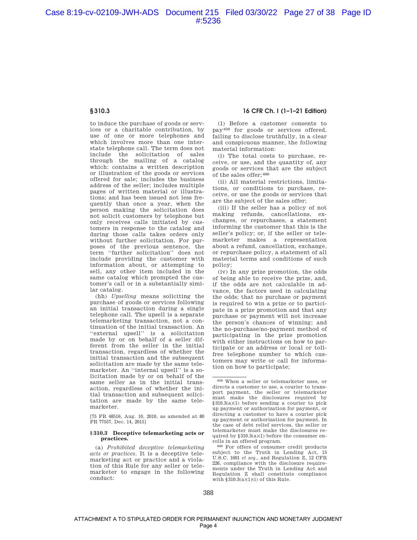Case 8:19-cv-02109-JWH-ADS Document 215 Filed 03/30/22 Page 27 of 38 Page ID #:5236

#### **§ 310.3**

to induce the purchase of goods or services or a charitable contribution, by use of one or more telephones and which involves more than one interstate telephone call. The term does not include the solicitation of sales through the mailing of a catalog which: contains a written description or illustration of the goods or services offered for sale; includes the business address of the seller; includes multiple pages of written material or illustrations; and has been issued not less frequently than once a year, when the person making the solicitation does not solicit customers by telephone but only receives calls initiated by customers in response to the catalog and during those calls takes orders only without further solicitation. For purposes of the previous sentence, the term "further solicitation" does not include providing the customer with information about, or attempting to sell, any other item included in the same catalog which prompted the customer's call or in a substantially similar catalog.

(hh) *Upselling* means soliciting the purchase of goods or services following an initial transaction during a single telephone call. The upsell is a separate telemarketing transaction, not a continuation of the initial transaction. An ''external upsell'' is a solicitation made by or on behalf of a seller different from the seller in the initial transaction, regardless of whether the initial transaction and the subsequent solicitation are made by the same telemarketer. An ''internal upsell'' is a solicitation made by or on behalf of the same seller as in the initial transaction, regardless of whether the initial transaction and subsequent solicitation are made by the same telemarketer.

[75 FR 48516, Aug. 10, 2010, as amended at 80 FR 77557, Dec. 14, 2015]

#### **§ 310.3 Deceptive telemarketing acts or practices.**

(a) *Prohibited deceptive telemarketing acts or practices.* It is a deceptive telemarketing act or practice and a violation of this Rule for any seller or telemarketer to engage in the following conduct:

#### **16 CFR Ch. I (1–1–21 Edition)**

(1) Before a customer consents to pay 659 for goods or services offered, failing to disclose truthfully, in a clear and conspicuous manner, the following material information:

(i) The total costs to purchase, receive, or use, and the quantity of, any goods or services that are the subject of the sales offer; 660

(ii) All material restrictions, limitations, or conditions to purchase, receive, or use the goods or services that are the subject of the sales offer;

(iii) If the seller has a policy of not making refunds, cancellations, exchanges, or repurchases, a statement informing the customer that this is the seller's policy; or, if the seller or telemarketer makes a representation about a refund, cancellation, exchange, or repurchase policy, a statement of all material terms and conditions of such policy;

(iv) In any prize promotion, the odds of being able to receive the prize, and, if the odds are not calculable in advance, the factors used in calculating the odds; that no purchase or payment is required to win a prize or to participate in a prize promotion and that any purchase or payment will not increase the person's chances of winning; and the no-purchase/no-payment method of participating in the prize promotion with either instructions on how to participate or an address or local or tollfree telephone number to which customers may write or call for information on how to participate;

<sup>659</sup> When a seller or telemarketer uses, or directs a customer to use, a courier to transport payment, the seller or telemarketer must make the disclosures required by § 310.3(a)(1) before sending a courier to pick up payment or authorization for payment, or directing a customer to have a courier pick up payment or authorization for payment. In the case of debt relief services, the seller or telemarketer must make the disclosures required by  $$310.3(a)(1)$  before the consumer enrolls in an offered program.<br><sup>660</sup> For offers of consumer credit products

subject to the Truth in Lending Act, 15 U.S.C. 1601 *et seq.,* and Regulation Z, 12 CFR 226, compliance with the disclosure requirements under the Truth in Lending Act and Regulation Z shall constitute compliance with  $$310.3(a)(1)(i)$  of this Rule.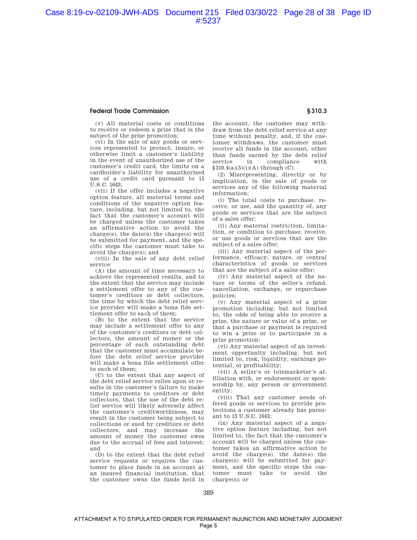Case 8:19-cv-02109-JWH-ADS Document 215 Filed 03/30/22 Page 28 of 38 Page ID #:5237

#### **Federal Trade Commission**

(v) All material costs or conditions to receive or redeem a prize that is the subject of the prize promotion;

(vi) In the sale of any goods or services represented to protect, insure, or otherwise limit a customer's liability in the event of unauthorized use of the customer's credit card, the limits on a cardholder's liability for unauthorized use of a credit card pursuant to 15 U.S.C. 1643;

(vii) If the offer includes a negative option feature, all material terms and conditions of the negative option feature, including, but not limited to, the fact that the customer's account will be charged unless the customer takes an affirmative action to avoid the charge(s), the date(s) the charge(s) will be submitted for payment, and the specific steps the customer must take to avoid the charge(s); and

(viii) In the sale of any debt relief service:

(A) the amount of time necessary to achieve the represented results, and to the extent that the service may include a settlement offer to any of the customer's creditors or debt collectors, the time by which the debt relief service provider will make a bona fide settlement offer to each of them;

(B) to the extent that the service may include a settlement offer to any of the customer's creditors or debt collectors, the amount of money or the percentage of each outstanding debt that the customer must accumulate before the debt relief service provider will make a bona fide settlement offer to each of them;

(C) to the extent that any aspect of the debt relief service relies upon or results in the customer's failure to make timely payments to creditors or debt collectors, that the use of the debt relief service will likely adversely affect the customer's creditworthiness, may result in the customer being subject to collections or sued by creditors or debt collectors, and may increase the amount of money the customer owes due to the accrual of fees and interest; and

(D) to the extent that the debt relief service requests or requires the customer to place funds in an account at an insured financial institution, that the customer owns the funds held in

the account, the customer may withdraw from the debt relief service at any time without penalty, and, if the customer withdraws, the customer must receive all funds in the account, other than funds earned by the debt relief service in compliance with  $§310.4(a)(5)(i)(A)$  through  $(C)$ .

(2) Misrepresenting, directly or by implication, in the sale of goods or services any of the following material information:

(i) The total costs to purchase, receive, or use, and the quantity of, any goods or services that are the subject of a sales offer;

(ii) Any material restriction, limitation, or condition to purchase, receive, or use goods or services that are the subject of a sales offer;

(iii) Any material aspect of the performance, efficacy, nature, or central characteristics of goods or services that are the subject of a sales offer;

(iv) Any material aspect of the nature or terms of the seller's refund, cancellation, exchange, or repurchase policies;

(v) Any material aspect of a prize promotion including, but not limited to, the odds of being able to receive a prize, the nature or value of a prize, or that a purchase or payment is required to win a prize or to participate in a prize promotion;

(vi) Any material aspect of an investment opportunity including, but not limited to, risk, liquidity, earnings potential, or profitability;

(vii) A seller's or telemarketer's affiliation with, or endorsement or sponsorship by, any person or government entity;

(viii) That any customer needs offered goods or services to provide protections a customer already has pursuant to 15 U.S.C. 1643;

(ix) Any material aspect of a negative option feature including, but not limited to, the fact that the customer's account will be charged unless the customer takes an affirmative action to avoid the charge(s), the date(s) the charge(s) will be submitted for payment, and the specific steps the customer must take to avoid the charge(s); or

**§ 310.3**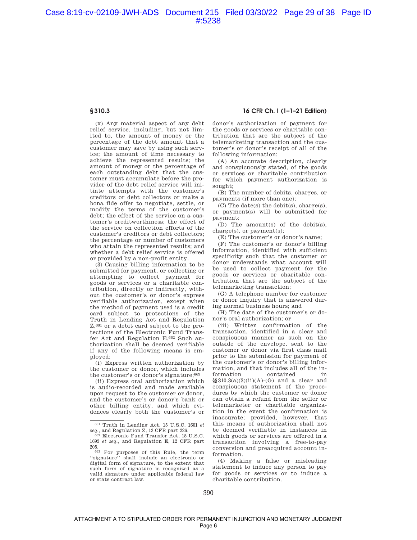Case 8:19-cv-02109-JWH-ADS Document 215 Filed 03/30/22 Page 29 of 38 Page ID #:5238

#### **§ 310.3**

(x) Any material aspect of any debt relief service, including, but not limited to, the amount of money or the percentage of the debt amount that a customer may save by using such service; the amount of time necessary to achieve the represented results; the amount of money or the percentage of each outstanding debt that the customer must accumulate before the provider of the debt relief service will initiate attempts with the customer's creditors or debt collectors or make a bona fide offer to negotiate, settle, or modify the terms of the customer's debt; the effect of the service on a customer's creditworthiness; the effect of the service on collection efforts of the customer's creditors or debt collectors; the percentage or number of customers who attain the represented results; and whether a debt relief service is offered or provided by a non-profit entity.

(3) Causing billing information to be submitted for payment, or collecting or attempting to collect payment for goods or services or a charitable contribution, directly or indirectly, without the customer's or donor's express verifiable authorization, except when the method of payment used is a credit card subject to protections of the Truth in Lending Act and Regulation Z,661 or a debit card subject to the protections of the Electronic Fund Transfer Act and Regulation E.662 Such authorization shall be deemed verifiable if any of the following means is employed:

(i) Express written authorization by the customer or donor, which includes the customer's or donor's signature;<sup>663</sup>

(ii) Express oral authorization which is audio-recorded and made available upon request to the customer or donor, and the customer's or donor's bank or other billing entity, and which evidences clearly both the customer's or

#### **16 CFR Ch. I (1–1–21 Edition)**

donor's authorization of payment for the goods or services or charitable contribution that are the subject of the telemarketing transaction and the customer's or donor's receipt of all of the following information:

(A) An accurate description, clearly and conspicuously stated, of the goods or services or charitable contribution for which payment authorization is sought;

(B) The number of debits, charges, or payments (if more than one);

(C) The date(s) the debit(s), charge(s), or payment(s) will be submitted for payment;

(D) The amount(s) of the debit(s), charge(s), or payment(s);

(E) The customer's or donor's name;

(F) The customer's or donor's billing information, identified with sufficient specificity such that the customer or donor understands what account will be used to collect payment for the goods or services or charitable contribution that are the subject of the telemarketing transaction;

(G) A telephone number for customer or donor inquiry that is answered during normal business hours; and

(H) The date of the customer's or donor's oral authorization; or

(iii) Written confirmation of the transaction, identified in a clear and conspicuous manner as such on the outside of the envelope, sent to the customer or donor via first class mail prior to the submission for payment of the customer's or donor's billing information, and that includes all of the in-<br>formation contained in contained in  $\S$ §310.3(a)(3)(ii)(A)-(G) and a clear and conspicuous statement of the procedures by which the customer or donor can obtain a refund from the seller or telemarketer or charitable organization in the event the confirmation is inaccurate; provided, however, that this means of authorization shall not be deemed verifiable in instances in which goods or services are offered in a transaction involving a free-to-pay conversion and preacquired account information.

(4) Making a false or misleading statement to induce any person to pay for goods or services or to induce a charitable contribution.

 $661$  Truth in Lending Act, 15 U.S.C. 1601 *et seq.*, and Regulation Z, 12 CFR part 226.

Electronic Fund Transfer Act, 15 U.S.C. 1693 *et seq.,* and Regulation E, 12 CFR part

 $663$  For purposes of this Rule, the term ''signature'' shall include an electronic or digital form of signature, to the extent that such form of signature is recognized as a valid signature under applicable federal law or state contract law.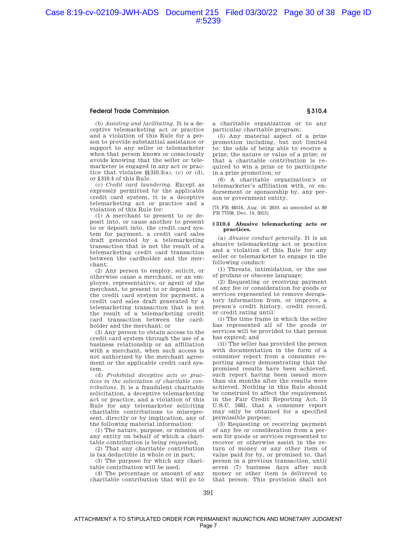Case 8:19-cv-02109-JWH-ADS Document 215 Filed 03/30/22 Page 30 of 38 Page ID #:5239

#### **Federal Trade Commission**

(b) *Assisting and facilitating.* It is a deceptive telemarketing act or practice and a violation of this Rule for a person to provide substantial assistance or support to any seller or telemarketer when that person knows or consciously avoids knowing that the seller or telemarketer is engaged in any act or practice that violates  $\S$ 310.3(a), (c) or (d), or § 310.4 of this Rule.

(c) *Credit card laundering.* Except as expressly permitted by the applicable credit card system, it is a deceptive telemarketing act or practice and a violation of this Rule for:

(1) A merchant to present to or deposit into, or cause another to present to or deposit into, the credit card system for payment, a credit card sales draft generated by a telemarketing transaction that is not the result of a telemarketing credit card transaction between the cardholder and the merchant;

(2) Any person to employ, solicit, or otherwise cause a merchant, or an employee, representative, or agent of the merchant, to present to or deposit into the credit card system for payment, a credit card sales draft generated by a telemarketing transaction that is not the result of a telemarketing credit card transaction between the cardholder and the merchant; or

(3) Any person to obtain access to the credit card system through the use of a business relationship or an affiliation with a merchant, when such access is not authorized by the merchant agreement or the applicable credit card system.

(d) *Prohibited deceptive acts or practices in the solicitation of charitable contributions.* It is a fraudulent charitable solicitation, a deceptive telemarketing act or practice, and a violation of this Rule for any telemarketer soliciting charitable contributions to misrepresent, directly or by implication, any of the following material information:

(1) The nature, purpose, or mission of any entity on behalf of which a charitable contribution is being requested;

(2) That any charitable contribution is tax deductible in whole or in part;

(3) The purpose for which any charitable contribution will be used;

(4) The percentage or amount of any charitable contribution that will go to a charitable organization or to any particular charitable program;

(5) Any material aspect of a prize promotion including, but not limited to: the odds of being able to receive a prize; the nature or value of a prize; or that a charitable contribution is required to win a prize or to participate in a prize promotion; or

(6) A charitable organization's or telemarketer's affiliation with, or endorsement or sponsorship by, any person or government entity.

[75 FR 48516, Aug. 10, 2010, as amended at 80 FR 77558, Dec. 14, 2015]

#### **§ 310.4 Abusive telemarketing acts or practices.**

(a) *Abusive conduct generally.* It is an abusive telemarketing act or practice and a violation of this Rule for any seller or telemarketer to engage in the following conduct:

(1) Threats, intimidation, or the use of profane or obscene language;

(2) Requesting or receiving payment of any fee or consideration for goods or services represented to remove derogatory information from, or improve, a person's credit history, credit record, or credit rating until:

(i) The time frame in which the seller has represented all of the goods or services will be provided to that person has expired; and

(ii) The seller has provided the person with documentation in the form of a consumer report from a consumer reporting agency demonstrating that the promised results have been achieved, such report having been issued more than six months after the results were achieved. Nothing in this Rule should be construed to affect the requirement in the Fair Credit Reporting Act, 15 U.S.C. 1681, that a consumer report may only be obtained for a specified permissible purpose;

(3) Requesting or receiving payment of any fee or consideration from a person for goods or services represented to recover or otherwise assist in the return of money or any other item of value paid for by, or promised to, that person in a previous transaction, until seven (7) business days after such money or other item is delivered to that person. This provision shall not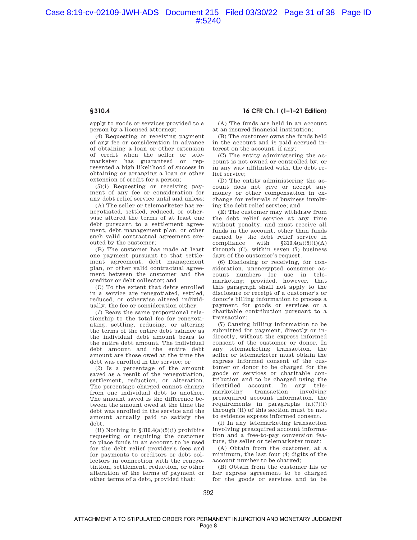Case 8:19-cv-02109-JWH-ADS Document 215 Filed 03/30/22 Page 31 of 38 Page ID #:5240

#### **§ 310.4**

apply to goods or services provided to a person by a licensed attorney;

(4) Requesting or receiving payment of any fee or consideration in advance of obtaining a loan or other extension of credit when the seller or telemarketer has guaranteed or represented a high likelihood of success in obtaining or arranging a loan or other extension of credit for a person;

(5)(i) Requesting or receiving payment of any fee or consideration for any debt relief service until and unless:

(A) The seller or telemarketer has renegotiated, settled, reduced, or otherwise altered the terms of at least one debt pursuant to a settlement agreement, debt management plan, or other such valid contractual agreement executed by the customer;

(B) The customer has made at least one payment pursuant to that settlement agreement, debt management plan, or other valid contractual agreement between the customer and the creditor or debt collector; and

(C) To the extent that debts enrolled in a service are renegotiated, settled, reduced, or otherwise altered individually, the fee or consideration either:

(*1*) Bears the same proportional relationship to the total fee for renegotiating, settling, reducing, or altering the terms of the entire debt balance as the individual debt amount bears to the entire debt amount. The individual debt amount and the entire debt amount are those owed at the time the debt was enrolled in the service; or

(*2*) Is a percentage of the amount saved as a result of the renegotiation, settlement, reduction, or alteration. The percentage charged cannot change from one individual debt to another. The amount saved is the difference between the amount owed at the time the debt was enrolled in the service and the amount actually paid to satisfy the debt.

(ii) Nothing in  $$310.4(a)(5)(i)$  prohibits requesting or requiring the customer to place funds in an account to be used for the debt relief provider's fees and for payments to creditors or debt collectors in connection with the renegotiation, settlement, reduction, or other alteration of the terms of payment or other terms of a debt, provided that:

#### **16 CFR Ch. I (1–1–21 Edition)**

(A) The funds are held in an account at an insured financial institution;

(B) The customer owns the funds held in the account and is paid accrued interest on the account, if any;

(C) The entity administering the account is not owned or controlled by, or in any way affiliated with, the debt relief service;

(D) The entity administering the account does not give or accept any money or other compensation in exchange for referrals of business involving the debt relief service; and

(E) The customer may withdraw from the debt relief service at any time without penalty, and must receive all funds in the account, other than funds earned by the debt relief service in compliance with  $§ 310.4(a)(5)(i)(A)$ through (C), within seven (7) business days of the customer's request.

(6) Disclosing or receiving, for consideration, unencrypted consumer account numbers for use in telemarketing; provided, however, that this paragraph shall not apply to the disclosure or receipt of a customer's or donor's billing information to process a payment for goods or services or a charitable contribution pursuant to a transaction;

(7) Causing billing information to be submitted for payment, directly or indirectly, without the express informed consent of the customer or donor. In any telemarketing transaction, the seller or telemarketer must obtain the express informed consent of the customer or donor to be charged for the goods or services or charitable contribution and to be charged using the<br>identified account. In any teleidentified account. In marketing transaction involving preacquired account information, the requirements in paragraphs  $(a)(7)(i)$ through (ii) of this section must be met to evidence express informed consent.

(i) In any telemarketing transaction involving preacquired account information and a free-to-pay conversion feature, the seller or telemarketer must:

(A) Obtain from the customer, at a minimum, the last four (4) digits of the account number to be charged;

(B) Obtain from the customer his or her express agreement to be charged for the goods or services and to be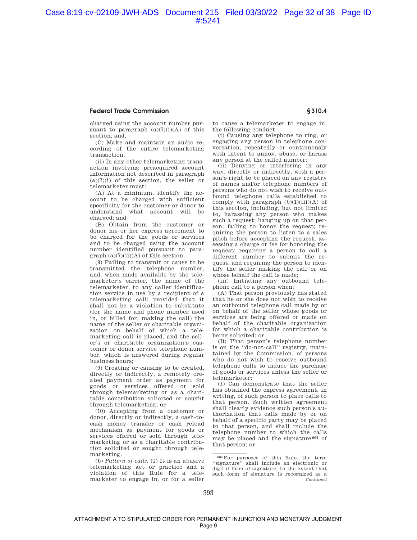Case 8:19-cv-02109-JWH-ADS Document 215 Filed 03/30/22 Page 32 of 38 Page ID #:5241

#### **Federal Trade Commission**

charged using the account number pursuant to paragraph  $(a)(7)(i)(A)$  of this section; and,

(C) Make and maintain an audio recording of the entire telemarketing transaction.

(ii) In any other telemarketing transaction involving preacquired account information not described in paragraph  $(a)(7)(i)$  of this section, the seller or telemarketer must:

(A) At a minimum, identify the account to be charged with sufficient specificity for the customer or donor to understand what account will be charged; and

(B) Obtain from the customer or donor his or her express agreement to be charged for the goods or services and to be charged using the account number identified pursuant to para $graph (a)(7)(ii)(A)$  of this section;

(8) Failing to transmit or cause to be transmitted the telephone number, and, when made available by the telemarketer's carrier, the name of the telemarketer, to any caller identification service in use by a recipient of a telemarketing call; provided that it shall not be a violation to substitute (for the name and phone number used in, or billed for, making the call) the name of the seller or charitable organization on behalf of which a telemarketing call is placed, and the seller's or charitable organization's customer or donor service telephone number, which is answered during regular business hours;

(9) Creating or causing to be created, directly or indirectly, a remotely created payment order as payment for goods or services offered or sold through telemarketing or as a charitable contribution solicited or sought through telemarketing; or

(10) Accepting from a customer or donor, directly or indirectly, a cash-tocash money transfer or cash reload mechanism as payment for goods or services offered or sold through telemarketing or as a charitable contribution solicited or sought through telemarketing.

(b) *Pattern of calls.* (1) It is an abusive telemarketing act or practice and a violation of this Rule for a telemarketer to engage in, or for a seller

to cause a telemarketer to engage in, the following conduct:

(i) Causing any telephone to ring, or engaging any person in telephone conversation, repeatedly or continuously with intent to annoy, abuse, or harass any person at the called number;

(ii) Denying or interfering in any way, directly or indirectly, with a person's right to be placed on any registry of names and/or telephone numbers of persons who do not wish to receive outbound telephone calls established to comply with paragraph  $(b)(1)(iii)(A)$  of this section, including, but not limited to, harassing any person who makes such a request; hanging up on that person; failing to honor the request; requiring the person to listen to a sales pitch before accepting the request; assessing a charge or fee for honoring the request; requiring a person to call a different number to submit the request; and requiring the person to identify the seller making the call or on whose behalf the call is made;

(iii) Initiating any outbound telephone call to a person when:

(A) That person previously has stated that he or she does not wish to receive an outbound telephone call made by or on behalf of the seller whose goods or services are being offered or made on behalf of the charitable organization for which a charitable contribution is being solicited; or

(B) That person's telephone number is on the ''do-not-call'' registry, maintained by the Commission, of persons who do not wish to receive outbound telephone calls to induce the purchase of goods or services unless the seller or telemarketer:

(*1*) Can demonstrate that the seller has obtained the express agreement, in writing, of such person to place calls to that person. Such written agreement shall clearly evidence such person's authorization that calls made by or on behalf of a specific party may be placed to that person, and shall include the telephone number to which the calls may be placed and the signature 664 of that person; or

<sup>664</sup> For purposes of this Rule, the term ''signature'' shall include an electronic or digital form of signature, to the extent that such form of signature is recognized as a *Continued*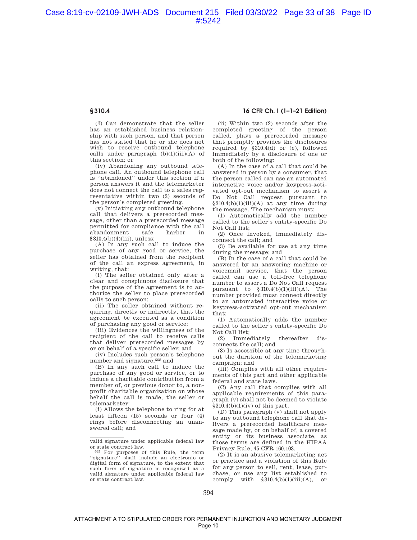Case 8:19-cv-02109-JWH-ADS Document 215 Filed 03/30/22 Page 33 of 38 Page ID #:5242

#### **§ 310.4**

(*2*) Can demonstrate that the seller has an established business relationship with such person, and that person has not stated that he or she does not wish to receive outbound telephone calls under paragraph  $(b)(1)(iii)(A)$  of this section; or

(iv) Abandoning any outbound telephone call. An outbound telephone call is ''abandoned'' under this section if a person answers it and the telemarketer does not connect the call to a sales representative within two (2) seconds of the person's completed greeting.

(v) Initiating any outbound telephone call that delivers a prerecorded message, other than a prerecorded message permitted for compliance with the call abandonment safe harbor in § 310.4(b)(4)(iii), unless:

(A) In any such call to induce the purchase of any good or service, the seller has obtained from the recipient of the call an express agreement, in writing, that:

(i) The seller obtained only after a clear and conspicuous disclosure that the purpose of the agreement is to authorize the seller to place prerecorded calls to such person;

(ii) The seller obtained without requiring, directly or indirectly, that the agreement be executed as a condition of purchasing any good or service;

(iii) Evidences the willingness of the recipient of the call to receive calls that deliver prerecorded messages by or on behalf of a specific seller; and

(iv) Includes such person's telephone number and signature;665 and

(B) In any such call to induce the purchase of any good or service, or to induce a charitable contribution from a member of, or previous donor to, a nonprofit charitable organization on whose behalf the call is made, the seller or telemarketer:

(i) Allows the telephone to ring for at least fifteen (15) seconds or four (4) rings before disconnecting an unanswered call; and

#### **16 CFR Ch. I (1–1–21 Edition)**

(ii) Within two (2) seconds after the completed greeting of the person called, plays a prerecorded message that promptly provides the disclosures required by § 310.4(d) or (e), followed immediately by a disclosure of one or both of the following:

(A) In the case of a call that could be answered in person by a consumer, that the person called can use an automated interactive voice and/or keypress-activated opt-out mechanism to assert a Do Not Call request pursuant to  $§310.4(b)(1)(iii)(A)$  at any time during the message. The mechanism must:

(1) Automatically add the number called to the seller's entity-specific Do Not Call list;

(2) Once invoked, immediately disconnect the call; and

(3) Be available for use at any time during the message; and

(B) In the case of a call that could be answered by an answering machine or voicemail service, that the person called can use a toll-free telephone number to assert a Do Not Call request pursuant to  $$310.4(b)(1)(iii)(A)$ . The number provided must connect directly to an automated interactive voice or keypress-activated opt-out mechanism  $t$ hat $\cdot$ 

(1) Automatically adds the number called to the seller's entity-specific Do Not Call list;

 $(2)$  Immediately thereafter connects the call; and

(3) Is accessible at any time throughout the duration of the telemarketing campaign; and

(iii) Complies with all other requirements of this part and other applicable federal and state laws.

(C) Any call that complies with all applicable requirements of this paragraph (v) shall not be deemed to violate  $§310.4(b)(1)(iv)$  of this part.

(D) This paragraph (v) shall not apply to any outbound telephone call that delivers a prerecorded healthcare message made by, or on behalf of, a covered entity or its business associate, as those terms are defined in the HIPAA Privacy Rule, 45 CFR 160.103.

(2) It is an abusive telemarketing act or practice and a violation of this Rule for any person to sell, rent, lease, purchase, or use any list established to comply with  $§ 310.4(b)(1)(iii)(A)$ , or

valid signature under applicable federal law

 $665$  For purposes of this Rule, the term ''signature'' shall include an electronic or digital form of signature, to the extent that such form of signature is recognized as a valid signature under applicable federal law or state contract law.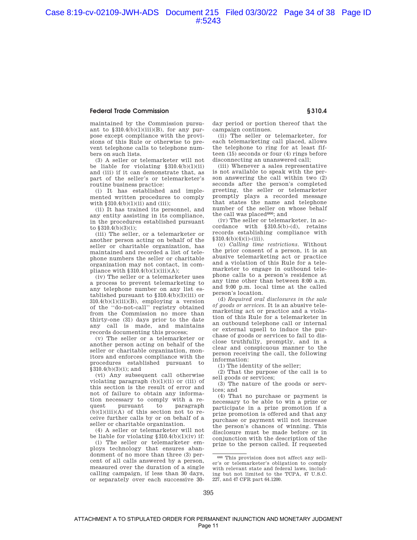Case 8:19-cv-02109-JWH-ADS Document 215 Filed 03/30/22 Page 34 of 38 Page ID #:5243

#### **Federal Trade Commission**

maintained by the Commission pursuant to  $$310.4(b)(1)(iii)(B)$ , for any purpose except compliance with the provisions of this Rule or otherwise to prevent telephone calls to telephone numbers on such lists.

(3) A seller or telemarketer will not be liable for violating  $§310.4(b)(1)(ii)$ and (iii) if it can demonstrate that, as part of the seller's or telemarketer's routine business practice:

(i) It has established and implemented written procedures to comply with  $§310.4(b)(1)(ii)$  and (iii);

(ii) It has trained its personnel, and any entity assisting in its compliance, in the procedures established pursuant to  $$310.4(b)(3)(i);$ 

(iii) The seller, or a telemarketer or another person acting on behalf of the seller or charitable organization, has maintained and recorded a list of telephone numbers the seller or charitable organization may not contact, in compliance with  $§310.4(b)(1)(iii)(A);$ 

(iv) The seller or a telemarketer uses a process to prevent telemarketing to any telephone number on any list established pursuant to § 310.4(b)(3)(iii) or  $310.4(b)(1)(iii)(B)$ , employing a version of the ''do-not-call'' registry obtained from the Commission no more than thirty-one (31) days prior to the date any call is made, and maintains records documenting this process;

(v) The seller or a telemarketer or another person acting on behalf of the seller or charitable organization, monitors and enforces compliance with the procedures established pursuant to  $\frac{1}{2}$  310.4(b)(3)(i); and

(vi) Any subsequent call otherwise violating paragraph  $(b)(1)(ii)$  or (iii) of this section is the result of error and not of failure to obtain any information necessary to comply with a request pursuant to paragraph  $(b)(1)(iii)(A)$  of this section not to receive further calls by or on behalf of a seller or charitable organization.

(4) A seller or telemarketer will not be liable for violating  $§310.4(b)(1)(iv)$  if:

(i) The seller or telemarketer employs technology that ensures abandonment of no more than three (3) percent of all calls answered by a person, measured over the duration of a single calling campaign, if less than 30 days, or separately over each successive 30day period or portion thereof that the campaign continues.

(ii) The seller or telemarketer, for each telemarketing call placed, allows the telephone to ring for at least fifteen (15) seconds or four (4) rings before disconnecting an unanswered call;

(iii) Whenever a sales representative is not available to speak with the person answering the call within two (2) seconds after the person's completed greeting, the seller or telemarketer promptly plays a recorded message that states the name and telephone number of the seller on whose behalf the call was placed<sup>666</sup>; and

(iv) The seller or telemarketer, in accordance with § 310.5(b)-(d), retains records establishing compliance with  $§ 310.4(b)(4)(i)-(iii)$ .

(c) *Calling time restrictions.* Without the prior consent of a person, it is an abusive telemarketing act or practice and a violation of this Rule for a telemarketer to engage in outbound telephone calls to a person's residence at any time other than between 8:00 a.m. and 9:00 p.m. local time at the called person's location.

(d) *Required oral disclosures in the sale of goods or services.* It is an abusive telemarketing act or practice and a violation of this Rule for a telemarketer in an outbound telephone call or internal or external upsell to induce the purchase of goods or services to fail to disclose truthfully, promptly, and in a clear and conspicuous manner to the person receiving the call, the following information:

(1) The identity of the seller;

(2) That the purpose of the call is to sell goods or services;

(3) The nature of the goods or services; and

(4) That no purchase or payment is necessary to be able to win a prize or participate in a prize promotion if a prize promotion is offered and that any purchase or payment will not increase the person's chances of winning. This disclosure must be made before or in conjunction with the description of the prize to the person called. If requested

<sup>666</sup> This provision does not affect any seller's or telemarketer's obligation to comply with relevant state and federal laws, including but not limited to the TCPA, 47 U.S.C. 227, and 47 CFR part 64.1200.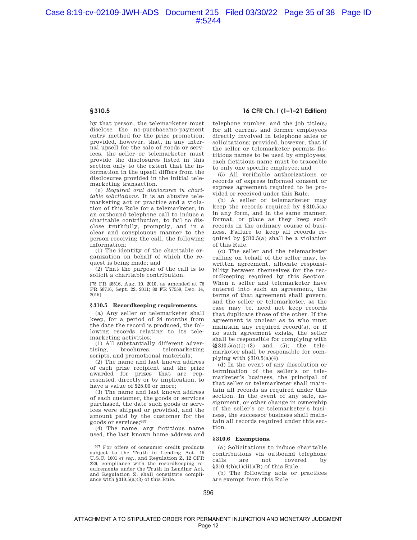Case 8:19-cv-02109-JWH-ADS Document 215 Filed 03/30/22 Page 35 of 38 Page ID #:5244

#### **§ 310.5**

by that person, the telemarketer must disclose the no-purchase/no-payment entry method for the prize promotion; provided, however, that, in any internal upsell for the sale of goods or services, the seller or telemarketer must provide the disclosures listed in this section only to the extent that the information in the upsell differs from the disclosures provided in the initial telemarketing transaction.

(e) *Required oral disclosures in charitable solicitations.* It is an abusive telemarketing act or practice and a violation of this Rule for a telemarketer, in an outbound telephone call to induce a charitable contribution, to fail to disclose truthfully, promptly, and in a clear and conspicuous manner to the person receiving the call, the following information:

(1) The identity of the charitable organization on behalf of which the request is being made; and

(2) That the purpose of the call is to solicit a charitable contribution.

[75 FR 48516, Aug. 10, 2010, as amended at 76 FR 58716, Sept. 22, 2011; 80 FR 77559, Dec. 14, 2015]

#### **§ 310.5 Recordkeeping requirements.**

(a) Any seller or telemarketer shall keep, for a period of 24 months from the date the record is produced, the following records relating to its telemarketing activities:

(1) All substantially different adver-<br>sing, brochures, telemarketing tising, brochures, telemarketing scripts, and promotional materials;

(2) The name and last known address of each prize recipient and the prize awarded for prizes that are represented, directly or by implication, to have a value of \$25.00 or more;

(3) The name and last known address of each customer, the goods or services purchased, the date such goods or services were shipped or provided, and the amount paid by the customer for the goods or services;667

(4) The name, any fictitious name used, the last known home address and

#### **16 CFR Ch. I (1–1–21 Edition)**

telephone number, and the job title(s) for all current and former employees directly involved in telephone sales or solicitations; provided, however, that if the seller or telemarketer permits fictitious names to be used by employees, each fictitious name must be traceable to only one specific employee; and

(5) All verifiable authorizations or records of express informed consent or express agreement required to be provided or received under this Rule.

(b) A seller or telemarketer may keep the records required by § 310.5(a) in any form, and in the same manner, format, or place as they keep such records in the ordinary course of business. Failure to keep all records required by § 310.5(a) shall be a violation of this Rule.

(c) The seller and the telemarketer calling on behalf of the seller may, by written agreement, allocate responsibility between themselves for the recordkeeping required by this Section. When a seller and telemarketer have entered into such an agreement, the terms of that agreement shall govern, and the seller or telemarketer, as the case may be, need not keep records that duplicate those of the other. If the agreement is unclear as to who must maintain any required record(s), or if no such agreement exists, the seller shall be responsible for complying with §§ 310.5(a)(1)-(3) and (5); the telemarketer shall be responsible for complying with  $§ 310.5(a)(4)$ .

(d) In the event of any dissolution or termination of the seller's or telemarketer's business, the principal of that seller or telemarketer shall maintain all records as required under this section. In the event of any sale, assignment, or other change in ownership of the seller's or telemarketer's business, the successor business shall maintain all records required under this section.

#### **§ 310.6 Exemptions.**

(a) Solicitations to induce charitable contributions via outbound telephone calls are not covered by § 310.4(b)(1)(iii)(B) of this Rule.

(b) The following acts or practices are exempt from this Rule:

 $^{667}$  For offers of consumer credit products subject to the Truth in Lending Act, 15 U.S.C. 1601 *et seq.,* and Regulation Z, 12 CFR 226, compliance with the recordkeeping requirements under the Truth in Lending Act, and Regulation Z, shall constitute compliance with  $\S 310.5(a)(3)$  of this Rule.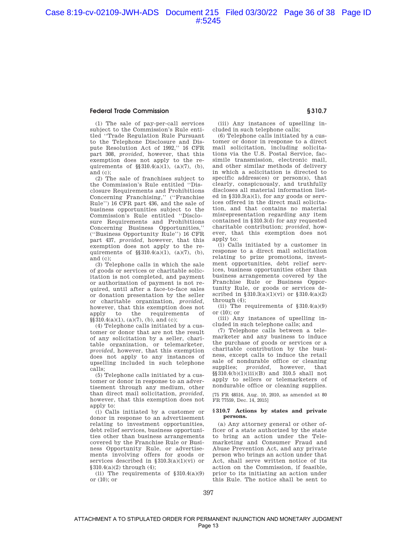Case 8:19-cv-02109-JWH-ADS Document 215 Filed 03/30/22 Page 36 of 38 Page ID #:5245

#### **Federal Trade Commission**

(1) The sale of pay-per-call services subject to the Commission's Rule entitled ''Trade Regulation Rule Pursuant to the Telephone Disclosure and Dispute Resolution Act of 1992,'' 16 CFR part 308, *provided,* however, that this exemption does not apply to the requirements of  $\S 310.4(a)(1)$ ,  $(a)(7)$ ,  $(b)$ , and (c);

(2) The sale of franchises subject to the Commission's Rule entitled ''Disclosure Requirements and Prohibitions Concerning Franchising,'' (''Franchise Rule'') 16 CFR part 436, and the sale of business opportunities subject to the Commission's Rule entitled ''Disclosure Requirements and Prohibitions Concerning Business Opportunities,'' (''Business Opportunity Rule'') 16 CFR part 437, *provided,* however, that this exemption does not apply to the requirements of  $\S$  $310.4(a)(1)$ ,  $(a)(7)$ ,  $(b)$ , and (c);

(3) Telephone calls in which the sale of goods or services or charitable solicitation is not completed, and payment or authorization of payment is not required, until after a face-to-face sales or donation presentation by the seller or charitable organization, *provided,*  however, that this exemption does not<br>apply to the requirements of requirements of  $\S$ §310.4(a)(1), (a)(7), (b), and (c);

(4) Telephone calls initiated by a customer or donor that are not the result of any solicitation by a seller, charitable organization, or telemarketer, *provided,* however, that this exemption does not apply to any instances of upselling included in such telephone calls;

(5) Telephone calls initiated by a customer or donor in response to an advertisement through any medium, other than direct mail solicitation, *provided,*  however, that this exemption does not apply to:

(i) Calls initiated by a customer or donor in response to an advertisement relating to investment opportunities, debt relief services, business opportunities other than business arrangements covered by the Franchise Rule or Business Opportunity Rule, or advertisements involving offers for goods or services described in  $§ 310.3(a)(1)(vi)$  or  $$310.4(a)(2)$  through  $(4)$ ;

(ii) The requirements of  $§310.4(a)(9)$ or (10); or

(iii) Any instances of upselling included in such telephone calls;

(6) Telephone calls initiated by a customer or donor in response to a direct mail solicitation, including solicitations via the U.S. Postal Service, facsimile transmission, electronic mail, and other similar methods of delivery in which a solicitation is directed to specific address(es) or person(s), that clearly, conspicuously, and truthfully discloses all material information listed in  $$310.3(a)(1)$ , for any goods or services offered in the direct mail solicitation, and that contains no material misrepresentation regarding any item contained in § 310.3(d) for any requested charitable contribution; *provided,* however, that this exemption does not apply to:

(i) Calls initiated by a customer in response to a direct mail solicitation relating to prize promotions, investment opportunities, debt relief services, business opportunities other than business arrangements covered by the Franchise Rule or Business Opportunity Rule, or goods or services described in  $$310.3(a)(1)(vi)$  or  $$310.4(a)(2)$ through (4);

(ii) The requirements of  $§310.4(a)(9)$ or (10); or

(iii) Any instances of upselling included in such telephone calls; and

(7) Telephone calls between a telemarketer and any business to induce the purchase of goods or services or a charitable contribution by the business, except calls to induce the retail sale of nondurable office or cleaning supplies; *provided,* however, that §§ 310.4(b)(1)(iii)(B) and 310.5 shall not apply to sellers or telemarketers of nondurable office or cleaning supplies.

[75 FR 48516, Aug. 10, 2010, as amended at 80 FR 77559, Dec. 14, 2015]

#### **§ 310.7 Actions by states and private persons.**

(a) Any attorney general or other officer of a state authorized by the state to bring an action under the Telemarketing and Consumer Fraud and Abuse Prevention Act, and any private person who brings an action under that Act, shall serve written notice of its action on the Commission, if feasible, prior to its initiating an action under this Rule. The notice shall be sent to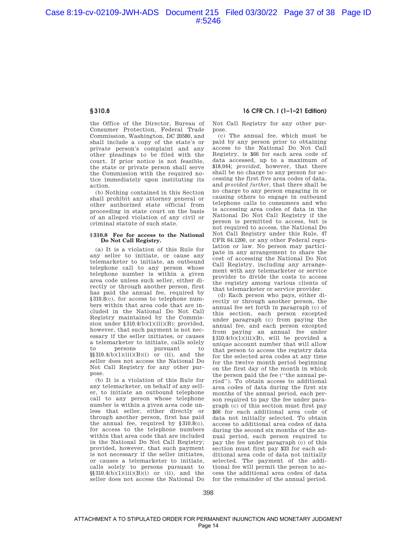#### **§ 310.8**

the Office of the Director, Bureau of Consumer Protection, Federal Trade Commission, Washington, DC 20580, and shall include a copy of the state's or private person's complaint and any other pleadings to be filed with the court. If prior notice is not feasible, the state or private person shall serve the Commission with the required notice immediately upon instituting its action.

(b) Nothing contained in this Section shall prohibit any attorney general or other authorized state official from proceeding in state court on the basis of an alleged violation of any civil or criminal statute of such state.

#### **§ 310.8 Fee for access to the National Do Not Call Registry.**

(a) It is a violation of this Rule for any seller to initiate, or cause any telemarketer to initiate, an outbound telephone call to any person whose telephone number is within a given area code unless such seller, either directly or through another person, first has paid the annual fee, required by § 310.8(c), for access to telephone numbers within that area code that are included in the National Do Not Call Registry maintained by the Commission under  $$310.4(b)(1)(iii)(B);$  provided, however, that such payment is not necessary if the seller initiates, or causes a telemarketer to initiate, calls solely to persons pursuant to  $\S(310.4(b)(1)(iii)(B)(i)$  or (ii), and the seller does not access the National Do Not Call Registry for any other purpose.

(b) It is a violation of this Rule for any telemarketer, on behalf of any seller, to initiate an outbound telephone call to any person whose telephone number is within a given area code unless that seller, either directly or through another person, first has paid the annual fee, required by  $§ 310.8(c)$ , for access to the telephone numbers within that area code that are included in the National Do Not Call Registry; provided, however, that such payment is not necessary if the seller initiates, or causes a telemarketer to initiate, calls solely to persons pursuant to  $\S\$ 310.4(b)(1)(iii)(B)(i) or (ii), and the seller does not access the National Do

**16 CFR Ch. I (1–1–21 Edition)** 

Not Call Registry for any other purpose.

(c) The annual fee, which must be paid by any person prior to obtaining access to the National Do Not Call Registry, is \$66 for each area code of data accessed, up to a maximum of \$18,044; *provided,* however, that there shall be no charge to any person for accessing the first five area codes of data, and *provided further,* that there shall be no charge to any person engaging in or causing others to engage in outbound telephone calls to consumers and who is accessing area codes of data in the National Do Not Call Registry if the person is permitted to access, but is not required to access, the National Do Not Call Registry under this Rule, 47 CFR 64.1200, or any other Federal regulation or law. No person may participate in any arrangement to share the cost of accessing the National Do Not Call Registry, including any arrangement with any telemarketer or service provider to divide the costs to access the registry among various clients of that telemarketer or service provider.

(d) Each person who pays, either directly or through another person, the annual fee set forth in paragraph (c) of this section, each person excepted under paragraph (c) from paying the annual fee, and each person excepted from paying an annual fee under § 310.4(b)(1)(iii)(B), will be provided a unique account number that will allow that person to access the registry data for the selected area codes at any time for the twelve month period beginning on the first day of the month in which the person paid the fee (''the annual period''). To obtain access to additional area codes of data during the first six months of the annual period, each person required to pay the fee under paragraph (c) of this section must first pay \$66 for each additional area code of data not initially selected. To obtain access to additional area codes of data during the second six months of the annual period, each person required to pay the fee under paragraph (c) of this section must first pay \$33 for each additional area code of data not initially selected. The payment of the additional fee will permit the person to access the additional area codes of data for the remainder of the annual period.